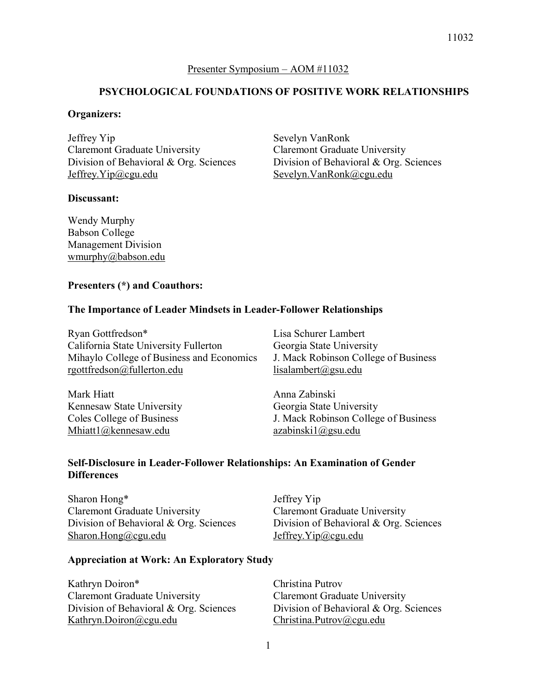Presenter Symposium – AOM #11032

## **PSYCHOLOGICAL FOUNDATIONS OF POSITIVE WORK RELATIONSHIPS**

## **Organizers:**

Jeffrey Yip Claremont Graduate University Division of Behavioral & Org. Sciences Jeffrey.Yip@cgu.edu

## **Discussant:**

Sevelyn VanRonk Claremont Graduate University Division of Behavioral & Org. Sciences Sevelyn.VanRonk@cgu.edu

Wendy Murphy Babson College Management Division wmurphy@babson.edu

## **Presenters (\*) and Coauthors:**

## **The Importance of Leader Mindsets in Leader-Follower Relationships**

Ryan Gottfredson\* California State University Fullerton Mihaylo College of Business and Economics rgottfredson@fullerton.edu

Mark Hiatt Kennesaw State University Coles College of Business Mhiatt1@kennesaw.edu

Lisa Schurer Lambert Georgia State University J. Mack Robinson College of Business lisalambert@gsu.edu

Anna Zabinski Georgia State University J. Mack Robinson College of Business azabinski1@gsu.edu

## **Self-Disclosure in Leader-Follower Relationships: An Examination of Gender Differences**

Sharon Hong\* Claremont Graduate University Division of Behavioral & Org. Sciences Sharon.Hong@cgu.edu

Jeffrey Yip Claremont Graduate University Division of Behavioral & Org. Sciences Jeffrey.Yip@cgu.edu

## **Appreciation at Work: An Exploratory Study**

Kathryn Doiron\* Claremont Graduate University Division of Behavioral & Org. Sciences Kathryn.Doiron@cgu.edu

Christina Putrov Claremont Graduate University Division of Behavioral & Org. Sciences Christina.Putrov@cgu.edu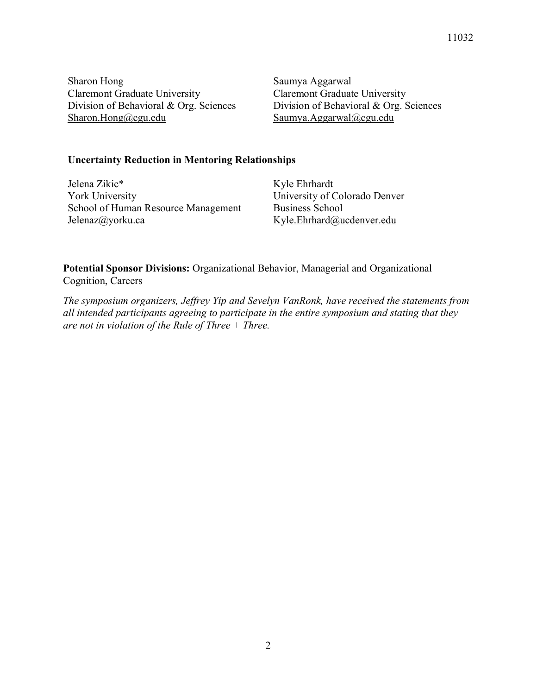11032

Sharon Hong Claremont Graduate University Division of Behavioral & Org. Sciences Sharon.Hong@cgu.edu

Saumya Aggarwal Claremont Graduate University Division of Behavioral & Org. Sciences Saumya.Aggarwal@cgu.edu

## **Uncertainty Reduction in Mentoring Relationships**

Jelena Zikic\* York University School of Human Resource Management Jelenaz@yorku.ca

Kyle Ehrhardt University of Colorado Denver Business School Kyle.Ehrhard@ucdenver.edu

**Potential Sponsor Divisions:** Organizational Behavior, Managerial and Organizational Cognition, Careers

*The symposium organizers, Jeffrey Yip and Sevelyn VanRonk, have received the statements from all intended participants agreeing to participate in the entire symposium and stating that they are not in violation of the Rule of Three + Three.*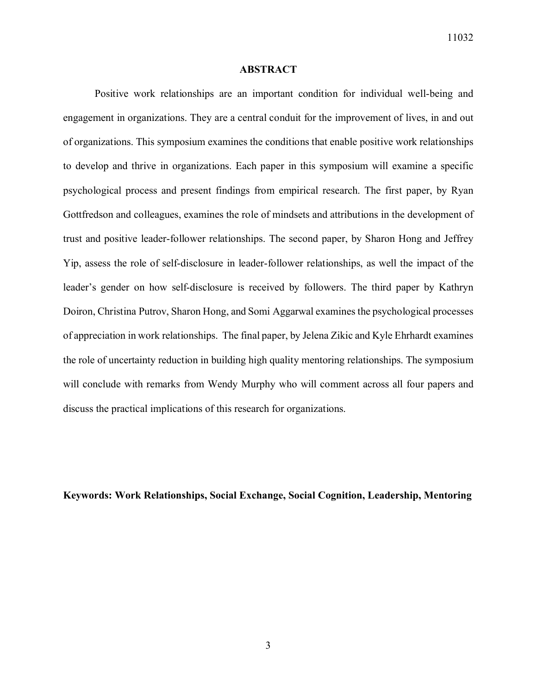#### **ABSTRACT**

Positive work relationships are an important condition for individual well-being and engagement in organizations. They are a central conduit for the improvement of lives, in and out of organizations. This symposium examines the conditions that enable positive work relationships to develop and thrive in organizations. Each paper in this symposium will examine a specific psychological process and present findings from empirical research. The first paper, by Ryan Gottfredson and colleagues, examines the role of mindsets and attributions in the development of trust and positive leader-follower relationships. The second paper, by Sharon Hong and Jeffrey Yip, assess the role of self-disclosure in leader-follower relationships, as well the impact of the leader's gender on how self-disclosure is received by followers. The third paper by Kathryn Doiron, Christina Putrov, Sharon Hong, and Somi Aggarwal examines the psychological processes of appreciation in work relationships. The final paper, by Jelena Zikic and Kyle Ehrhardt examines the role of uncertainty reduction in building high quality mentoring relationships. The symposium will conclude with remarks from Wendy Murphy who will comment across all four papers and discuss the practical implications of this research for organizations.

**Keywords: Work Relationships, Social Exchange, Social Cognition, Leadership, Mentoring**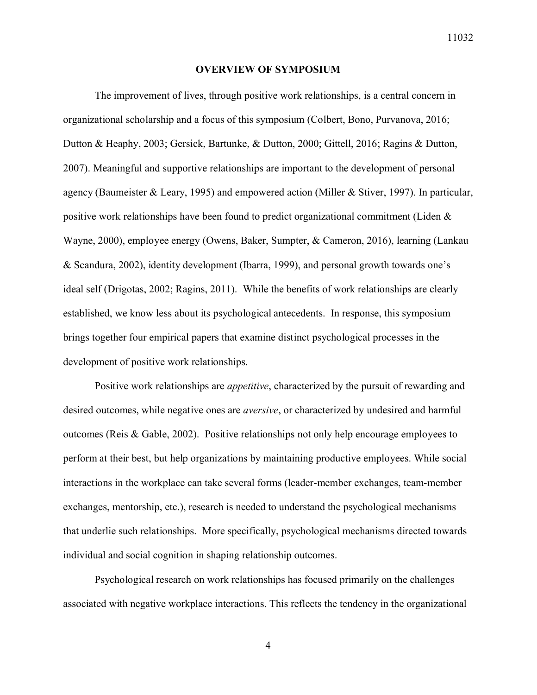#### **OVERVIEW OF SYMPOSIUM**

The improvement of lives, through positive work relationships, is a central concern in organizational scholarship and a focus of this symposium (Colbert, Bono, Purvanova, 2016; Dutton & Heaphy, 2003; Gersick, Bartunke, & Dutton, 2000; Gittell, 2016; Ragins & Dutton, 2007). Meaningful and supportive relationships are important to the development of personal agency (Baumeister & Leary, 1995) and empowered action (Miller & Stiver, 1997). In particular, positive work relationships have been found to predict organizational commitment (Liden & Wayne, 2000), employee energy (Owens, Baker, Sumpter, & Cameron, 2016), learning (Lankau & Scandura, 2002), identity development (Ibarra, 1999), and personal growth towards one's ideal self (Drigotas, 2002; Ragins, 2011). While the benefits of work relationships are clearly established, we know less about its psychological antecedents. In response, this symposium brings together four empirical papers that examine distinct psychological processes in the development of positive work relationships.

Positive work relationships are *appetitive*, characterized by the pursuit of rewarding and desired outcomes, while negative ones are *aversive*, or characterized by undesired and harmful outcomes (Reis & Gable, 2002). Positive relationships not only help encourage employees to perform at their best, but help organizations by maintaining productive employees. While social interactions in the workplace can take several forms (leader-member exchanges, team-member exchanges, mentorship, etc.), research is needed to understand the psychological mechanisms that underlie such relationships. More specifically, psychological mechanisms directed towards individual and social cognition in shaping relationship outcomes.

Psychological research on work relationships has focused primarily on the challenges associated with negative workplace interactions. This reflects the tendency in the organizational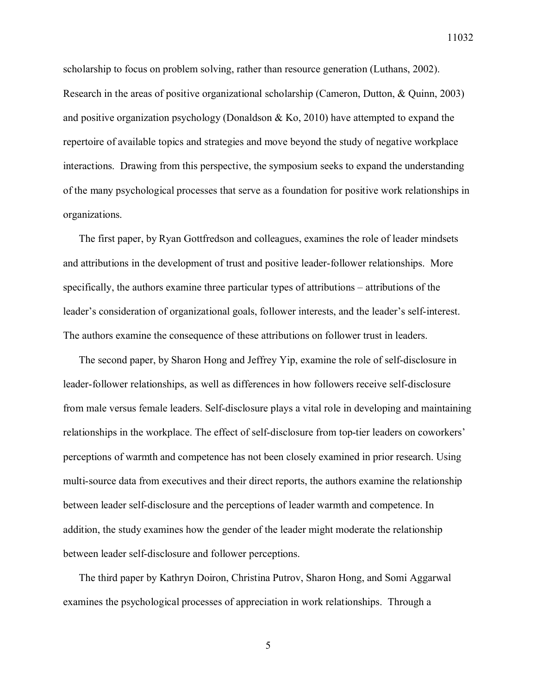scholarship to focus on problem solving, rather than resource generation (Luthans, 2002). Research in the areas of positive organizational scholarship (Cameron, Dutton, & Quinn, 2003) and positive organization psychology (Donaldson  $\&$  Ko, 2010) have attempted to expand the repertoire of available topics and strategies and move beyond the study of negative workplace interactions. Drawing from this perspective, the symposium seeks to expand the understanding of the many psychological processes that serve as a foundation for positive work relationships in organizations.

The first paper, by Ryan Gottfredson and colleagues, examines the role of leader mindsets and attributions in the development of trust and positive leader-follower relationships. More specifically, the authors examine three particular types of attributions – attributions of the leader's consideration of organizational goals, follower interests, and the leader's self-interest. The authors examine the consequence of these attributions on follower trust in leaders.

The second paper, by Sharon Hong and Jeffrey Yip, examine the role of self-disclosure in leader-follower relationships, as well as differences in how followers receive self-disclosure from male versus female leaders. Self-disclosure plays a vital role in developing and maintaining relationships in the workplace. The effect of self-disclosure from top-tier leaders on coworkers' perceptions of warmth and competence has not been closely examined in prior research. Using multi-source data from executives and their direct reports, the authors examine the relationship between leader self-disclosure and the perceptions of leader warmth and competence. In addition, the study examines how the gender of the leader might moderate the relationship between leader self-disclosure and follower perceptions.

The third paper by Kathryn Doiron, Christina Putrov, Sharon Hong, and Somi Aggarwal examines the psychological processes of appreciation in work relationships. Through a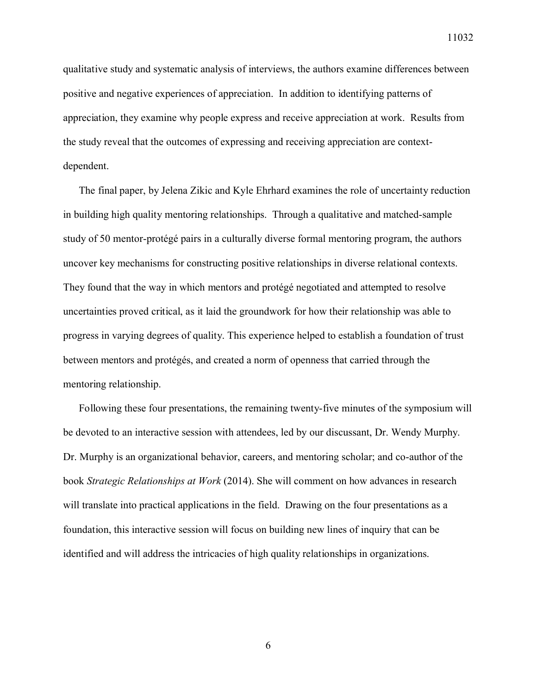qualitative study and systematic analysis of interviews, the authors examine differences between positive and negative experiences of appreciation. In addition to identifying patterns of appreciation, they examine why people express and receive appreciation at work. Results from the study reveal that the outcomes of expressing and receiving appreciation are contextdependent.

The final paper, by Jelena Zikic and Kyle Ehrhard examines the role of uncertainty reduction in building high quality mentoring relationships. Through a qualitative and matched-sample study of 50 mentor-protégé pairs in a culturally diverse formal mentoring program, the authors uncover key mechanisms for constructing positive relationships in diverse relational contexts. They found that the way in which mentors and protégé negotiated and attempted to resolve uncertainties proved critical, as it laid the groundwork for how their relationship was able to progress in varying degrees of quality. This experience helped to establish a foundation of trust between mentors and protégés, and created a norm of openness that carried through the mentoring relationship.

Following these four presentations, the remaining twenty-five minutes of the symposium will be devoted to an interactive session with attendees, led by our discussant, Dr. Wendy Murphy. Dr. Murphy is an organizational behavior, careers, and mentoring scholar; and co-author of the book *Strategic Relationships at Work* (2014). She will comment on how advances in research will translate into practical applications in the field. Drawing on the four presentations as a foundation, this interactive session will focus on building new lines of inquiry that can be identified and will address the intricacies of high quality relationships in organizations.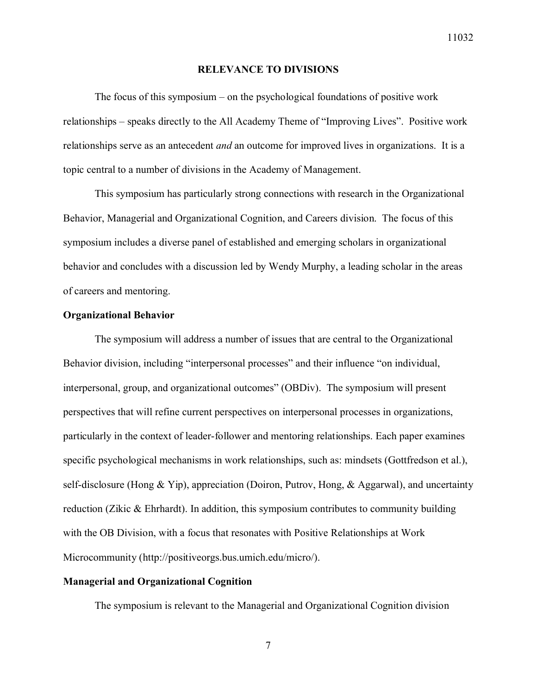#### **RELEVANCE TO DIVISIONS**

The focus of this symposium – on the psychological foundations of positive work relationships – speaks directly to the All Academy Theme of "Improving Lives". Positive work relationships serve as an antecedent *and* an outcome for improved lives in organizations. It is a topic central to a number of divisions in the Academy of Management.

This symposium has particularly strong connections with research in the Organizational Behavior, Managerial and Organizational Cognition, and Careers division. The focus of this symposium includes a diverse panel of established and emerging scholars in organizational behavior and concludes with a discussion led by Wendy Murphy, a leading scholar in the areas of careers and mentoring.

## **Organizational Behavior**

The symposium will address a number of issues that are central to the Organizational Behavior division, including "interpersonal processes" and their influence "on individual, interpersonal, group, and organizational outcomes" (OBDiv). The symposium will present perspectives that will refine current perspectives on interpersonal processes in organizations, particularly in the context of leader-follower and mentoring relationships. Each paper examines specific psychological mechanisms in work relationships, such as: mindsets (Gottfredson et al.), self-disclosure (Hong & Yip), appreciation (Doiron, Putrov, Hong, & Aggarwal), and uncertainty reduction (Zikic & Ehrhardt). In addition, this symposium contributes to community building with the OB Division, with a focus that resonates with Positive Relationships at Work Microcommunity (http://positiveorgs.bus.umich.edu/micro/).

## **Managerial and Organizational Cognition**

The symposium is relevant to the Managerial and Organizational Cognition division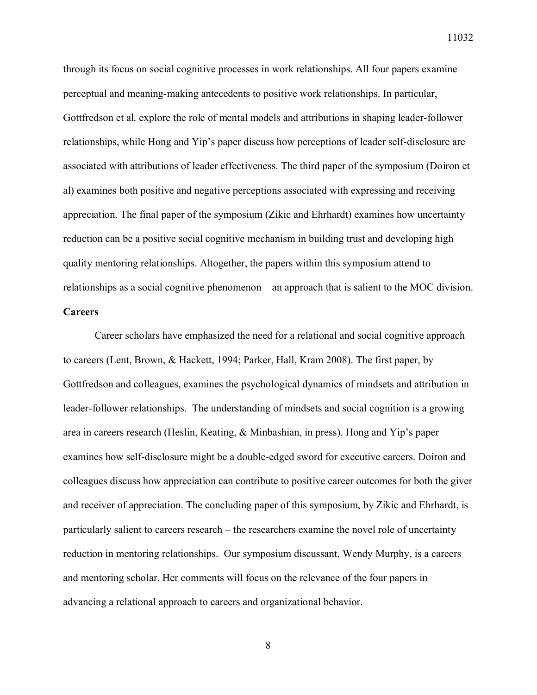through its focus on social cognitive processes in work relationships. All four papers examine perceptual and meaning-making antecedents to positive work relationships. In particular, Gottfredson et al. explore the role of mental models and attributions in shaping leader-follower relationships, while Hong and Yip's paper discuss how perceptions of leader self-disclosure are associated with attributions of leader effectiveness. The third paper of the symposium (Doiron et al) examines both positive and negative perceptions associated with expressing and receiving appreciation. The final paper of the symposium (Zikic and Ehrhardt) examines how uncertainty reduction can be a positive social cognitive mechanism in building trust and developing high quality mentoring relationships. Altogether, the papers within this symposium attend to relationships as a social cognitive phenomenon – an approach that is salient to the MOC division.

## **Careers**

Career scholars have emphasized the need for a relational and social cognitive approach to careers (Lent, Brown, & Hackett, 1994; Parker, Hall, Kram 2008). The first paper, by Gottfredson and colleagues, examines the psychological dynamics of mindsets and attribution in leader-follower relationships. The understanding of mindsets and social cognition is a growing area in careers research (Heslin, Keating, & Minbashian, in press). Hong and Yip's paper examines how self-disclosure might be a double-edged sword for executive careers. Doiron and colleagues discuss how appreciation can contribute to positive career outcomes for both the giver and receiver of appreciation. The concluding paper of this symposium, by Zikic and Ehrhardt, is particularly salient to careers research – the researchers examine the novel role of uncertainty reduction in mentoring relationships. Our symposium discussant, Wendy Murphy, is a careers and mentoring scholar. Her comments will focus on the relevance of the four papers in advancing a relational approach to careers and organizational behavior.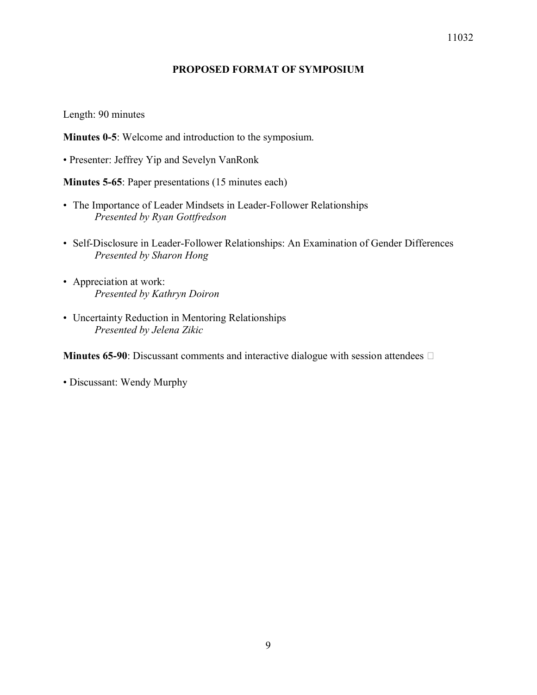## 11032

## **PROPOSED FORMAT OF SYMPOSIUM**

Length: 90 minutes

**Minutes 0-5**: Welcome and introduction to the symposium.

• Presenter: Jeffrey Yip and Sevelyn VanRonk

**Minutes 5-65**: Paper presentations (15 minutes each)

- The Importance of Leader Mindsets in Leader-Follower Relationships *Presented by Ryan Gottfredson*
- Self-Disclosure in Leader-Follower Relationships: An Examination of Gender Differences *Presented by Sharon Hong*
- Appreciation at work: *Presented by Kathryn Doiron*
- Uncertainty Reduction in Mentoring Relationships *Presented by Jelena Zikic*

**Minutes 65-90**: Discussant comments and interactive dialogue with session attendees  $\Box$ 

• Discussant: Wendy Murphy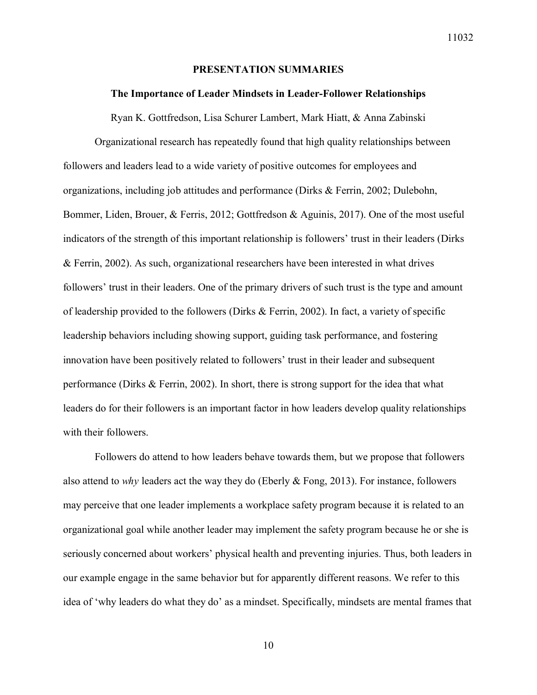#### **PRESENTATION SUMMARIES**

#### **The Importance of Leader Mindsets in Leader-Follower Relationships**

Ryan K. Gottfredson, Lisa Schurer Lambert, Mark Hiatt, & Anna Zabinski

Organizational research has repeatedly found that high quality relationships between followers and leaders lead to a wide variety of positive outcomes for employees and organizations, including job attitudes and performance (Dirks & Ferrin, 2002; Dulebohn, Bommer, Liden, Brouer, & Ferris, 2012; Gottfredson & Aguinis, 2017). One of the most useful indicators of the strength of this important relationship is followers' trust in their leaders (Dirks & Ferrin, 2002). As such, organizational researchers have been interested in what drives followers' trust in their leaders. One of the primary drivers of such trust is the type and amount of leadership provided to the followers (Dirks & Ferrin, 2002). In fact, a variety of specific leadership behaviors including showing support, guiding task performance, and fostering innovation have been positively related to followers' trust in their leader and subsequent performance (Dirks & Ferrin, 2002). In short, there is strong support for the idea that what leaders do for their followers is an important factor in how leaders develop quality relationships with their followers.

Followers do attend to how leaders behave towards them, but we propose that followers also attend to *why* leaders act the way they do (Eberly & Fong, 2013). For instance, followers may perceive that one leader implements a workplace safety program because it is related to an organizational goal while another leader may implement the safety program because he or she is seriously concerned about workers' physical health and preventing injuries. Thus, both leaders in our example engage in the same behavior but for apparently different reasons. We refer to this idea of 'why leaders do what they do' as a mindset. Specifically, mindsets are mental frames that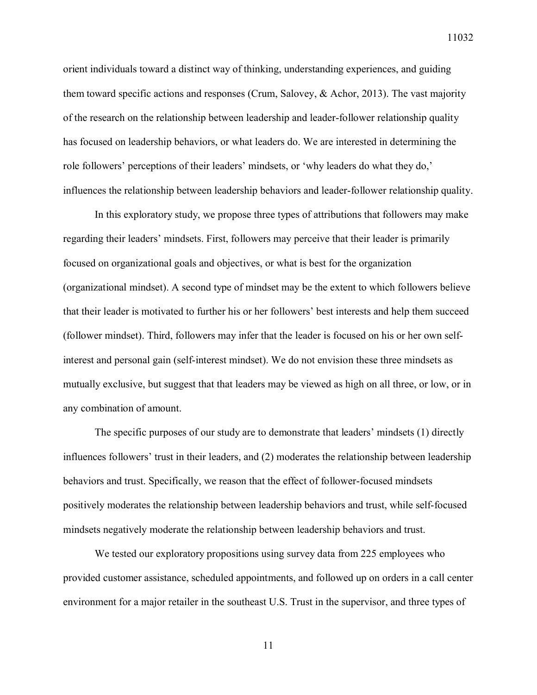orient individuals toward a distinct way of thinking, understanding experiences, and guiding them toward specific actions and responses (Crum, Salovey, & Achor, 2013). The vast majority of the research on the relationship between leadership and leader-follower relationship quality has focused on leadership behaviors, or what leaders do. We are interested in determining the role followers' perceptions of their leaders' mindsets, or 'why leaders do what they do,' influences the relationship between leadership behaviors and leader-follower relationship quality.

In this exploratory study, we propose three types of attributions that followers may make regarding their leaders' mindsets. First, followers may perceive that their leader is primarily focused on organizational goals and objectives, or what is best for the organization (organizational mindset). A second type of mindset may be the extent to which followers believe that their leader is motivated to further his or her followers' best interests and help them succeed (follower mindset). Third, followers may infer that the leader is focused on his or her own selfinterest and personal gain (self-interest mindset). We do not envision these three mindsets as mutually exclusive, but suggest that that leaders may be viewed as high on all three, or low, or in any combination of amount.

The specific purposes of our study are to demonstrate that leaders' mindsets (1) directly influences followers' trust in their leaders, and (2) moderates the relationship between leadership behaviors and trust. Specifically, we reason that the effect of follower-focused mindsets positively moderates the relationship between leadership behaviors and trust, while self-focused mindsets negatively moderate the relationship between leadership behaviors and trust.

We tested our exploratory propositions using survey data from 225 employees who provided customer assistance, scheduled appointments, and followed up on orders in a call center environment for a major retailer in the southeast U.S. Trust in the supervisor, and three types of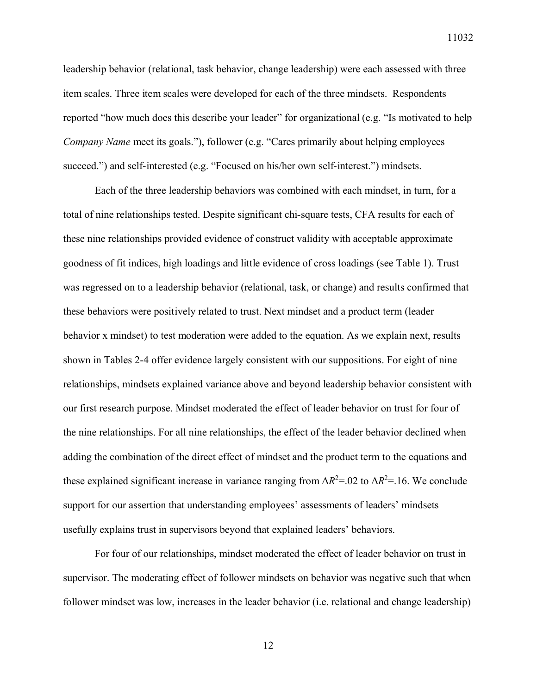leadership behavior (relational, task behavior, change leadership) were each assessed with three item scales. Three item scales were developed for each of the three mindsets. Respondents reported "how much does this describe your leader" for organizational (e.g. "Is motivated to help *Company Name* meet its goals."), follower (e.g. "Cares primarily about helping employees succeed.") and self-interested (e.g. "Focused on his/her own self-interest.") mindsets.

Each of the three leadership behaviors was combined with each mindset, in turn, for a total of nine relationships tested. Despite significant chi-square tests, CFA results for each of these nine relationships provided evidence of construct validity with acceptable approximate goodness of fit indices, high loadings and little evidence of cross loadings (see Table 1). Trust was regressed on to a leadership behavior (relational, task, or change) and results confirmed that these behaviors were positively related to trust. Next mindset and a product term (leader behavior x mindset) to test moderation were added to the equation. As we explain next, results shown in Tables 2-4 offer evidence largely consistent with our suppositions. For eight of nine relationships, mindsets explained variance above and beyond leadership behavior consistent with our first research purpose. Mindset moderated the effect of leader behavior on trust for four of the nine relationships. For all nine relationships, the effect of the leader behavior declined when adding the combination of the direct effect of mindset and the product term to the equations and these explained significant increase in variance ranging from  $\Delta R^2 = 0.02$  to  $\Delta R^2 = 16$ . We conclude support for our assertion that understanding employees' assessments of leaders' mindsets usefully explains trust in supervisors beyond that explained leaders' behaviors.

For four of our relationships, mindset moderated the effect of leader behavior on trust in supervisor. The moderating effect of follower mindsets on behavior was negative such that when follower mindset was low, increases in the leader behavior (i.e. relational and change leadership)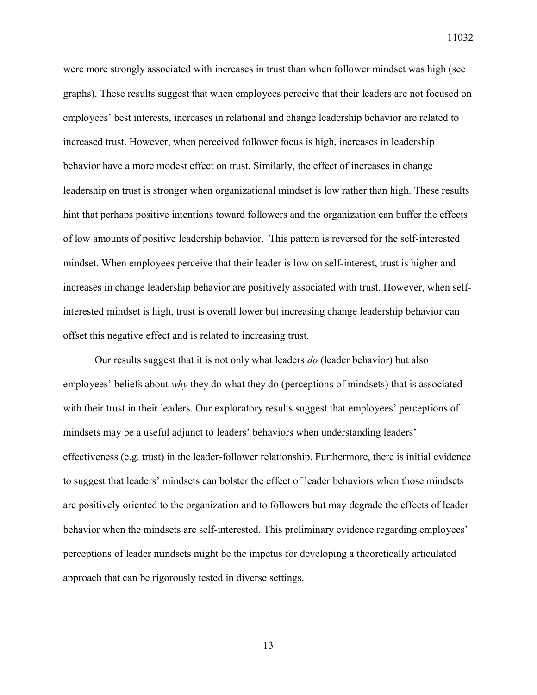were more strongly associated with increases in trust than when follower mindset was high (see graphs). These results suggest that when employees perceive that their leaders are not focused on employees' best interests, increases in relational and change leadership behavior are related to increased trust. However, when perceived follower focus is high, increases in leadership behavior have a more modest effect on trust. Similarly, the effect of increases in change leadership on trust is stronger when organizational mindset is low rather than high. These results hint that perhaps positive intentions toward followers and the organization can buffer the effects of low amounts of positive leadership behavior. This pattern is reversed for the self-interested mindset. When employees perceive that their leader is low on self-interest, trust is higher and increases in change leadership behavior are positively associated with trust. However, when selfinterested mindset is high, trust is overall lower but increasing change leadership behavior can offset this negative effect and is related to increasing trust.

Our results suggest that it is not only what leaders *do* (leader behavior) but also employees' beliefs about *why* they do what they do (perceptions of mindsets) that is associated with their trust in their leaders. Our exploratory results suggest that employees' perceptions of mindsets may be a useful adjunct to leaders' behaviors when understanding leaders' effectiveness (e.g. trust) in the leader-follower relationship. Furthermore, there is initial evidence to suggest that leaders' mindsets can bolster the effect of leader behaviors when those mindsets are positively oriented to the organization and to followers but may degrade the effects of leader behavior when the mindsets are self-interested. This preliminary evidence regarding employees' perceptions of leader mindsets might be the impetus for developing a theoretically articulated approach that can be rigorously tested in diverse settings.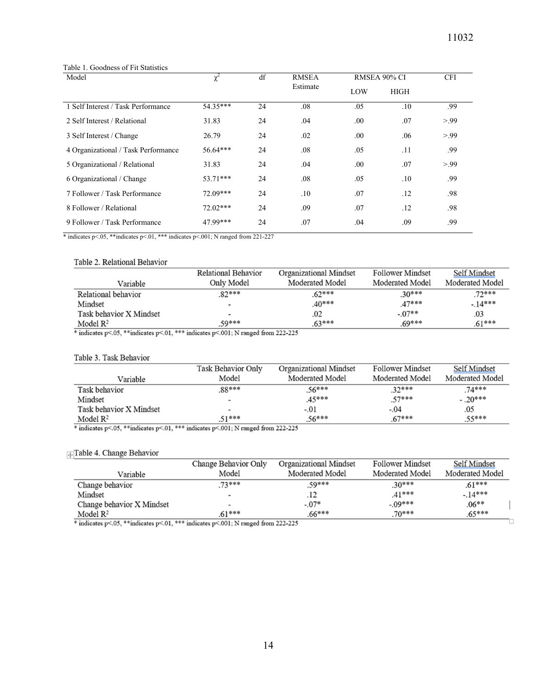| Model                               | $\chi^2$   | df | <b>RMSEA</b> | RMSEA 90% CI |             | <b>CFI</b> |
|-------------------------------------|------------|----|--------------|--------------|-------------|------------|
|                                     |            |    | Estimate     | LOW          | <b>HIGH</b> |            |
| 1 Self Interest / Task Performance  | 54.35***   | 24 | .08          | .05          | .10         | .99        |
| 2 Self Interest / Relational        | 31.83      | 24 | .04          | .00.         | .07         | > 99       |
| 3 Self Interest / Change            | 26.79      | 24 | .02          | .00.         | .06         | > 99       |
| 4 Organizational / Task Performance | 56.64***   | 24 | .08          | .05          | .11         | .99        |
| 5 Organizational / Relational       | 31.83      | 24 | .04          | .00          | .07         | > 99       |
| 6 Organizational / Change           | $53.71***$ | 24 | .08          | .05          | .10         | .99        |
| 7 Follower / Task Performance       | $72.09***$ | 24 | .10          | .07          | .12         | .98        |
| 8 Follower / Relational             | $72.02***$ | 24 | .09          | .07          | .12         | .98        |
| 9 Follower / Task Performance       | 47.99***   | 24 | .07          | .04          | .09         | .99        |

#### Table 1. Goodness of Fit Statistics

\* indicates p<.05, \*\*indicates p<.01, \*\*\* indicates p<.001; N ranged from 221-227

#### Table 2. Relational Behavior

|                         | Relational Behavior      | <b>Organizational Mindset</b> | <b>Follower Mindset</b> | Self Mindset           |
|-------------------------|--------------------------|-------------------------------|-------------------------|------------------------|
| Variable                | Only Model               | Moderated Model               | Moderated Model         | <b>Moderated Model</b> |
| Relational behavior     | $.82***$                 | $.62***$                      | $.30***$                | $.72***$               |
| Mindset                 | $\overline{\phantom{0}}$ | $.40***$                      | 47***                   | $-14***$               |
| Task behavior X Mindset | $\overline{\phantom{0}}$ | .02                           | $-.07**$                | .03                    |
| Model $\mathbb{R}^2$    | .59***                   | $.63***$                      | $69***$                 | $.61***$               |

 $*$  indicates p<.05, \*\* indicates p<.01, \*\*\* indicates p<.001; N ranged from 222-225

#### Table 3. Task Behavior

|                         | Task Behavior Only       | <b>Organizational Mindset</b> | <b>Follower Mindset</b> | Self Mindset    |
|-------------------------|--------------------------|-------------------------------|-------------------------|-----------------|
| Variable                | Model                    | Moderated Model               | Moderated Model         | Moderated Model |
| Task behavior           | .88***                   | $.56***$                      | $.32***$                | $.74***$        |
| Mindset                 | $\overline{\phantom{a}}$ | .45***                        | $.57***$                | $-.20***$       |
| Task behavior X Mindset | $\overline{\phantom{0}}$ | $-.01$                        | $-.04$                  | .05             |
| Model $\mathbb{R}^2$    | $.51***$                 | $.56***$                      | $.67***$                | $.55***$        |

\* indicates p<.05, \*\* indicates p<.01, \*\*\* indicates p<.001; N ranged from 222-225

#### **Table 4. Change Behavior**

|                                                                                      | Change Behavior Only     | <b>Organizational Mindset</b> | <b>Follower Mindset</b> | Self Mindset    |
|--------------------------------------------------------------------------------------|--------------------------|-------------------------------|-------------------------|-----------------|
| Variable                                                                             | Model                    | Moderated Model               | <b>Moderated Model</b>  | Moderated Model |
| Change behavior                                                                      | $73***$                  | 59***                         | $.30***$                | $.61***$        |
| Mindset                                                                              | $\,$                     | .12                           | $41***$                 | $-.14***$       |
| Change behavior X Mindset                                                            | $\overline{\phantom{0}}$ | $-.07*$                       | $-.09***$               | $.06**$         |
| Model $\mathbb{R}^2$                                                                 | $.61***$                 | $.66***$                      | $70***$                 | $.65***$        |
| indicates p< 05. $**$ indicates p< 01. $***$ indicates p< 001; N ranged from 222-225 |                          |                               |                         |                 |

\* indicates p<.05, \*\* indicates p<.01, \*\*\* indicates p<.001; N ranged from 222-225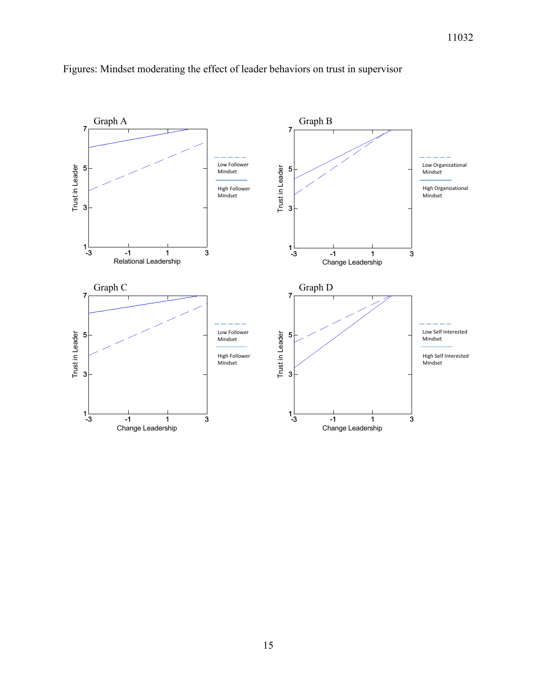

## Figures: Mindset moderating the effect of leader behaviors on trust in supervisor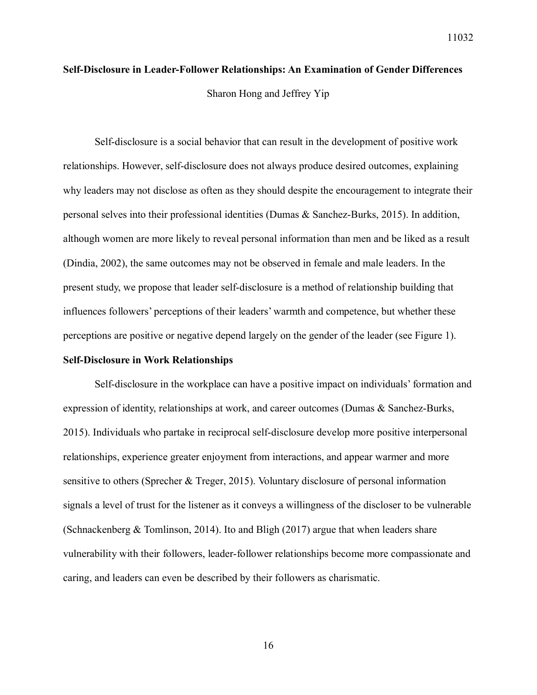# **Self-Disclosure in Leader-Follower Relationships: An Examination of Gender Differences** Sharon Hong and Jeffrey Yip

Self-disclosure is a social behavior that can result in the development of positive work relationships. However, self-disclosure does not always produce desired outcomes, explaining why leaders may not disclose as often as they should despite the encouragement to integrate their personal selves into their professional identities (Dumas & Sanchez-Burks, 2015). In addition, although women are more likely to reveal personal information than men and be liked as a result (Dindia, 2002), the same outcomes may not be observed in female and male leaders. In the present study, we propose that leader self-disclosure is a method of relationship building that influences followers' perceptions of their leaders' warmth and competence, but whether these perceptions are positive or negative depend largely on the gender of the leader (see Figure 1).

#### **Self-Disclosure in Work Relationships**

Self-disclosure in the workplace can have a positive impact on individuals' formation and expression of identity, relationships at work, and career outcomes (Dumas & Sanchez-Burks, 2015). Individuals who partake in reciprocal self-disclosure develop more positive interpersonal relationships, experience greater enjoyment from interactions, and appear warmer and more sensitive to others (Sprecher & Treger, 2015). Voluntary disclosure of personal information signals a level of trust for the listener as it conveys a willingness of the discloser to be vulnerable (Schnackenberg & Tomlinson, 2014). Ito and Bligh (2017) argue that when leaders share vulnerability with their followers, leader-follower relationships become more compassionate and caring, and leaders can even be described by their followers as charismatic.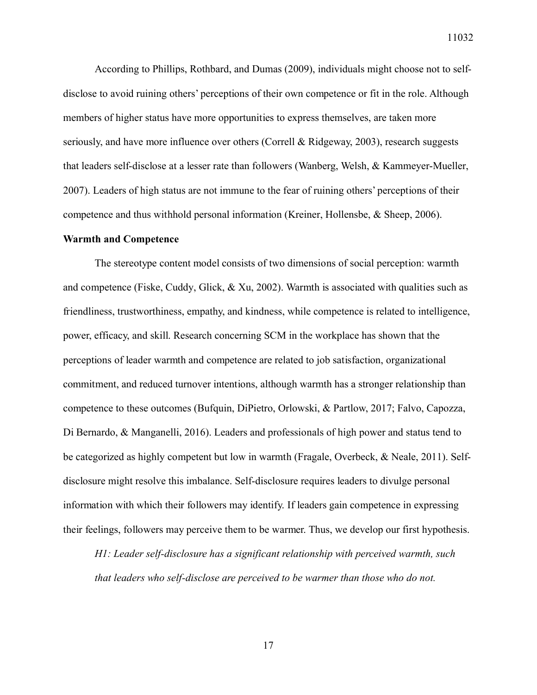According to Phillips, Rothbard, and Dumas (2009), individuals might choose not to selfdisclose to avoid ruining others' perceptions of their own competence or fit in the role. Although members of higher status have more opportunities to express themselves, are taken more seriously, and have more influence over others (Correll & Ridgeway, 2003), research suggests that leaders self-disclose at a lesser rate than followers (Wanberg, Welsh, & Kammeyer-Mueller, 2007). Leaders of high status are not immune to the fear of ruining others' perceptions of their competence and thus withhold personal information (Kreiner, Hollensbe, & Sheep, 2006).

#### **Warmth and Competence**

The stereotype content model consists of two dimensions of social perception: warmth and competence (Fiske, Cuddy, Glick,  $\&$  Xu, 2002). Warmth is associated with qualities such as friendliness, trustworthiness, empathy, and kindness, while competence is related to intelligence, power, efficacy, and skill. Research concerning SCM in the workplace has shown that the perceptions of leader warmth and competence are related to job satisfaction, organizational commitment, and reduced turnover intentions, although warmth has a stronger relationship than competence to these outcomes (Bufquin, DiPietro, Orlowski, & Partlow, 2017; Falvo, Capozza, Di Bernardo, & Manganelli, 2016). Leaders and professionals of high power and status tend to be categorized as highly competent but low in warmth (Fragale, Overbeck, & Neale, 2011). Selfdisclosure might resolve this imbalance. Self-disclosure requires leaders to divulge personal information with which their followers may identify. If leaders gain competence in expressing their feelings, followers may perceive them to be warmer. Thus, we develop our first hypothesis.

*H1: Leader self-disclosure has a significant relationship with perceived warmth, such that leaders who self-disclose are perceived to be warmer than those who do not.*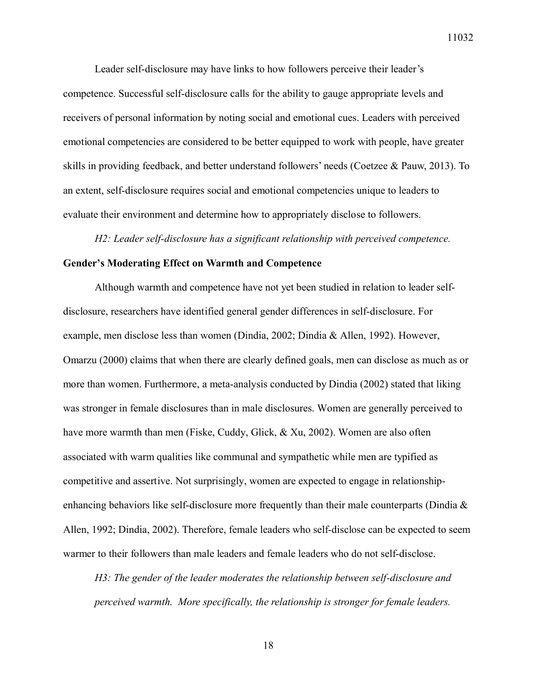Leader self-disclosure may have links to how followers perceive their leader's competence. Successful self-disclosure calls for the ability to gauge appropriate levels and receivers of personal information by noting social and emotional cues. Leaders with perceived emotional competencies are considered to be better equipped to work with people, have greater skills in providing feedback, and better understand followers' needs (Coetzee & Pauw, 2013). To an extent, self-disclosure requires social and emotional competencies unique to leaders to evaluate their environment and determine how to appropriately disclose to followers.

*H2: Leader self-disclosure has a significant relationship with perceived competence.*

#### **Gender's Moderating Effect on Warmth and Competence**

Although warmth and competence have not yet been studied in relation to leader selfdisclosure, researchers have identified general gender differences in self-disclosure. For example, men disclose less than women (Dindia, 2002; Dindia & Allen, 1992). However, Omarzu (2000) claims that when there are clearly defined goals, men can disclose as much as or more than women. Furthermore, a meta-analysis conducted by Dindia (2002) stated that liking was stronger in female disclosures than in male disclosures. Women are generally perceived to have more warmth than men (Fiske, Cuddy, Glick, & Xu, 2002). Women are also often associated with warm qualities like communal and sympathetic while men are typified as competitive and assertive. Not surprisingly, women are expected to engage in relationshipenhancing behaviors like self-disclosure more frequently than their male counterparts (Dindia  $\&$ Allen, 1992; Dindia, 2002). Therefore, female leaders who self-disclose can be expected to seem warmer to their followers than male leaders and female leaders who do not self-disclose.

*H3: The gender of the leader moderates the relationship between self-disclosure and perceived warmth. More specifically, the relationship is stronger for female leaders.*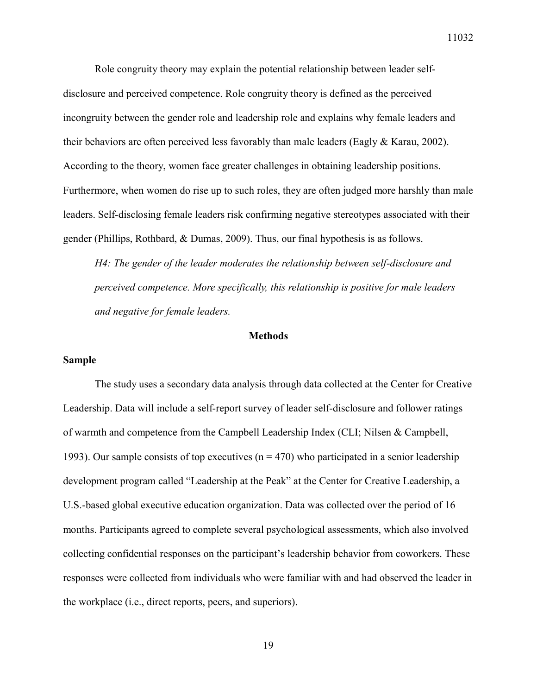Role congruity theory may explain the potential relationship between leader selfdisclosure and perceived competence. Role congruity theory is defined as the perceived incongruity between the gender role and leadership role and explains why female leaders and their behaviors are often perceived less favorably than male leaders (Eagly  $& Karau, 2002$ ). According to the theory, women face greater challenges in obtaining leadership positions. Furthermore, when women do rise up to such roles, they are often judged more harshly than male leaders. Self-disclosing female leaders risk confirming negative stereotypes associated with their gender (Phillips, Rothbard, & Dumas, 2009). Thus, our final hypothesis is as follows.

*H4: The gender of the leader moderates the relationship between self-disclosure and perceived competence. More specifically, this relationship is positive for male leaders and negative for female leaders.* 

### **Methods**

#### **Sample**

The study uses a secondary data analysis through data collected at the Center for Creative Leadership. Data will include a self-report survey of leader self-disclosure and follower ratings of warmth and competence from the Campbell Leadership Index (CLI; Nilsen & Campbell, 1993). Our sample consists of top executives ( $n = 470$ ) who participated in a senior leadership development program called "Leadership at the Peak" at the Center for Creative Leadership, a U.S.-based global executive education organization. Data was collected over the period of 16 months. Participants agreed to complete several psychological assessments, which also involved collecting confidential responses on the participant's leadership behavior from coworkers. These responses were collected from individuals who were familiar with and had observed the leader in the workplace (i.e., direct reports, peers, and superiors).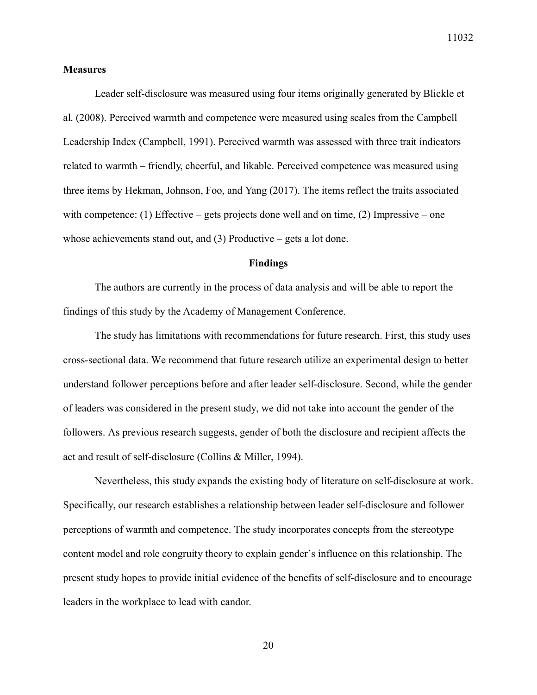## **Measures**

Leader self-disclosure was measured using four items originally generated by Blickle et al. (2008). Perceived warmth and competence were measured using scales from the Campbell Leadership Index (Campbell, 1991). Perceived warmth was assessed with three trait indicators related to warmth – friendly, cheerful, and likable. Perceived competence was measured using three items by Hekman, Johnson, Foo, and Yang (2017). The items reflect the traits associated with competence: (1) Effective – gets projects done well and on time, (2) Impressive – one whose achievements stand out, and (3) Productive – gets a lot done.

#### **Findings**

The authors are currently in the process of data analysis and will be able to report the findings of this study by the Academy of Management Conference.

The study has limitations with recommendations for future research. First, this study uses cross-sectional data. We recommend that future research utilize an experimental design to better understand follower perceptions before and after leader self-disclosure. Second, while the gender of leaders was considered in the present study, we did not take into account the gender of the followers. As previous research suggests, gender of both the disclosure and recipient affects the act and result of self-disclosure (Collins & Miller, 1994).

Nevertheless, this study expands the existing body of literature on self-disclosure at work. Specifically, our research establishes a relationship between leader self-disclosure and follower perceptions of warmth and competence. The study incorporates concepts from the stereotype content model and role congruity theory to explain gender's influence on this relationship. The present study hopes to provide initial evidence of the benefits of self-disclosure and to encourage leaders in the workplace to lead with candor.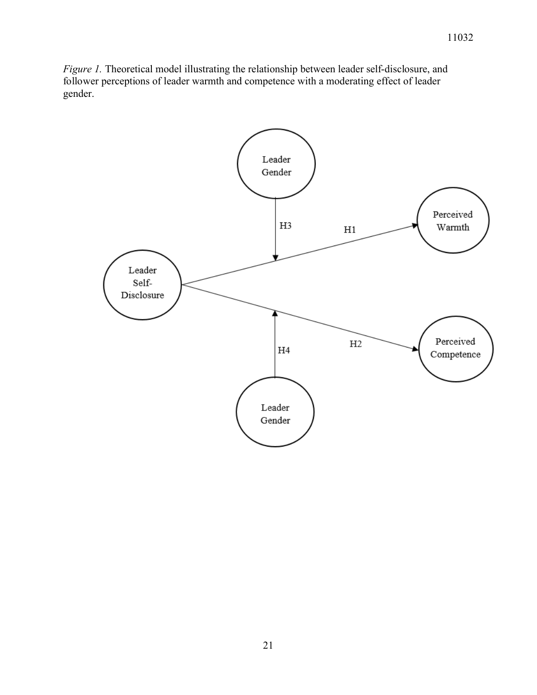*Figure 1.* Theoretical model illustrating the relationship between leader self-disclosure, and follower perceptions of leader warmth and competence with a moderating effect of leader gender.

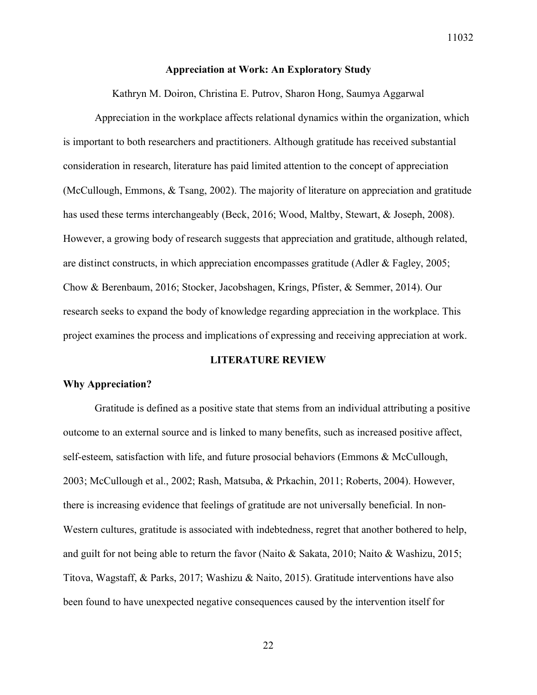#### **Appreciation at Work: An Exploratory Study**

Kathryn M. Doiron, Christina E. Putrov, Sharon Hong, Saumya Aggarwal

Appreciation in the workplace affects relational dynamics within the organization, which is important to both researchers and practitioners. Although gratitude has received substantial consideration in research, literature has paid limited attention to the concept of appreciation (McCullough, Emmons, & Tsang, 2002). The majority of literature on appreciation and gratitude has used these terms interchangeably (Beck, 2016; Wood, Maltby, Stewart, & Joseph, 2008). However, a growing body of research suggests that appreciation and gratitude, although related, are distinct constructs, in which appreciation encompasses gratitude (Adler & Fagley, 2005; Chow & Berenbaum, 2016; Stocker, Jacobshagen, Krings, Pfister, & Semmer, 2014). Our research seeks to expand the body of knowledge regarding appreciation in the workplace. This project examines the process and implications of expressing and receiving appreciation at work.

#### **LITERATURE REVIEW**

#### **Why Appreciation?**

Gratitude is defined as a positive state that stems from an individual attributing a positive outcome to an external source and is linked to many benefits, such as increased positive affect, self-esteem, satisfaction with life, and future prosocial behaviors (Emmons & McCullough, 2003; McCullough et al., 2002; Rash, Matsuba, & Prkachin, 2011; Roberts, 2004). However, there is increasing evidence that feelings of gratitude are not universally beneficial. In non-Western cultures, gratitude is associated with indebtedness, regret that another bothered to help, and guilt for not being able to return the favor (Naito & Sakata, 2010; Naito & Washizu, 2015; Titova, Wagstaff, & Parks, 2017; Washizu & Naito, 2015). Gratitude interventions have also been found to have unexpected negative consequences caused by the intervention itself for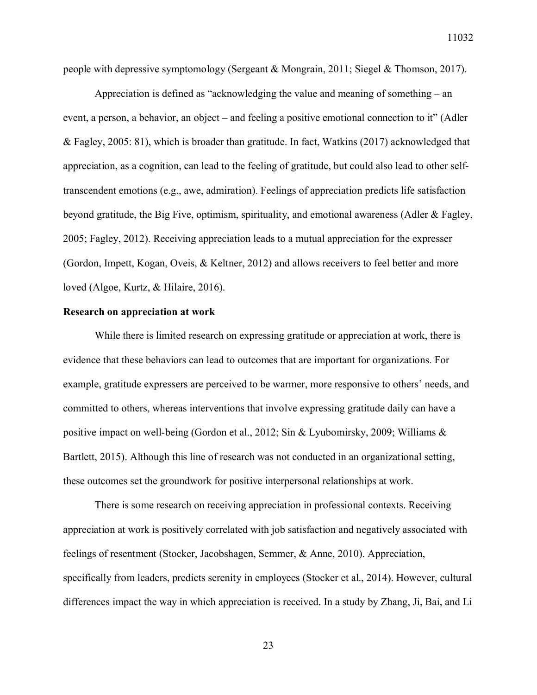people with depressive symptomology (Sergeant & Mongrain, 2011; Siegel & Thomson, 2017).

Appreciation is defined as "acknowledging the value and meaning of something – an event, a person, a behavior, an object – and feeling a positive emotional connection to it" (Adler & Fagley, 2005: 81), which is broader than gratitude. In fact, Watkins (2017) acknowledged that appreciation, as a cognition, can lead to the feeling of gratitude, but could also lead to other selftranscendent emotions (e.g., awe, admiration). Feelings of appreciation predicts life satisfaction beyond gratitude, the Big Five, optimism, spirituality, and emotional awareness (Adler & Fagley, 2005; Fagley, 2012). Receiving appreciation leads to a mutual appreciation for the expresser (Gordon, Impett, Kogan, Oveis, & Keltner, 2012) and allows receivers to feel better and more loved (Algoe, Kurtz, & Hilaire, 2016).

#### **Research on appreciation at work**

While there is limited research on expressing gratitude or appreciation at work, there is evidence that these behaviors can lead to outcomes that are important for organizations. For example, gratitude expressers are perceived to be warmer, more responsive to others' needs, and committed to others, whereas interventions that involve expressing gratitude daily can have a positive impact on well-being (Gordon et al., 2012; Sin & Lyubomirsky, 2009; Williams & Bartlett, 2015). Although this line of research was not conducted in an organizational setting, these outcomes set the groundwork for positive interpersonal relationships at work.

There is some research on receiving appreciation in professional contexts. Receiving appreciation at work is positively correlated with job satisfaction and negatively associated with feelings of resentment (Stocker, Jacobshagen, Semmer, & Anne, 2010). Appreciation, specifically from leaders, predicts serenity in employees (Stocker et al., 2014). However, cultural differences impact the way in which appreciation is received. In a study by Zhang, Ji, Bai, and Li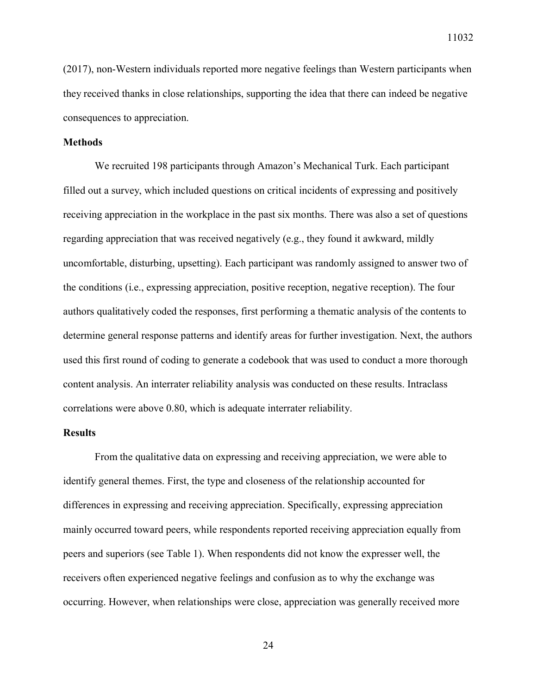(2017), non-Western individuals reported more negative feelings than Western participants when they received thanks in close relationships, supporting the idea that there can indeed be negative consequences to appreciation.

#### **Methods**

We recruited 198 participants through Amazon's Mechanical Turk. Each participant filled out a survey, which included questions on critical incidents of expressing and positively receiving appreciation in the workplace in the past six months. There was also a set of questions regarding appreciation that was received negatively (e.g., they found it awkward, mildly uncomfortable, disturbing, upsetting). Each participant was randomly assigned to answer two of the conditions (i.e., expressing appreciation, positive reception, negative reception). The four authors qualitatively coded the responses, first performing a thematic analysis of the contents to determine general response patterns and identify areas for further investigation. Next, the authors used this first round of coding to generate a codebook that was used to conduct a more thorough content analysis. An interrater reliability analysis was conducted on these results. Intraclass correlations were above 0.80, which is adequate interrater reliability.

#### **Results**

From the qualitative data on expressing and receiving appreciation, we were able to identify general themes. First, the type and closeness of the relationship accounted for differences in expressing and receiving appreciation. Specifically, expressing appreciation mainly occurred toward peers, while respondents reported receiving appreciation equally from peers and superiors (see Table 1). When respondents did not know the expresser well, the receivers often experienced negative feelings and confusion as to why the exchange was occurring. However, when relationships were close, appreciation was generally received more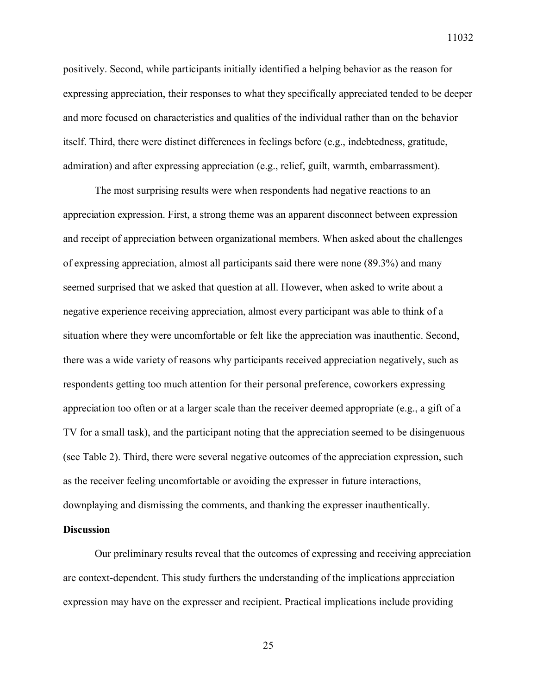11032

positively. Second, while participants initially identified a helping behavior as the reason for expressing appreciation, their responses to what they specifically appreciated tended to be deeper and more focused on characteristics and qualities of the individual rather than on the behavior itself. Third, there were distinct differences in feelings before (e.g., indebtedness, gratitude, admiration) and after expressing appreciation (e.g., relief, guilt, warmth, embarrassment).

The most surprising results were when respondents had negative reactions to an appreciation expression. First, a strong theme was an apparent disconnect between expression and receipt of appreciation between organizational members. When asked about the challenges of expressing appreciation, almost all participants said there were none (89.3%) and many seemed surprised that we asked that question at all. However, when asked to write about a negative experience receiving appreciation, almost every participant was able to think of a situation where they were uncomfortable or felt like the appreciation was inauthentic. Second, there was a wide variety of reasons why participants received appreciation negatively, such as respondents getting too much attention for their personal preference, coworkers expressing appreciation too often or at a larger scale than the receiver deemed appropriate (e.g., a gift of a TV for a small task), and the participant noting that the appreciation seemed to be disingenuous (see Table 2). Third, there were several negative outcomes of the appreciation expression, such as the receiver feeling uncomfortable or avoiding the expresser in future interactions, downplaying and dismissing the comments, and thanking the expresser inauthentically.

## **Discussion**

 Our preliminary results reveal that the outcomes of expressing and receiving appreciation are context-dependent. This study furthers the understanding of the implications appreciation expression may have on the expresser and recipient. Practical implications include providing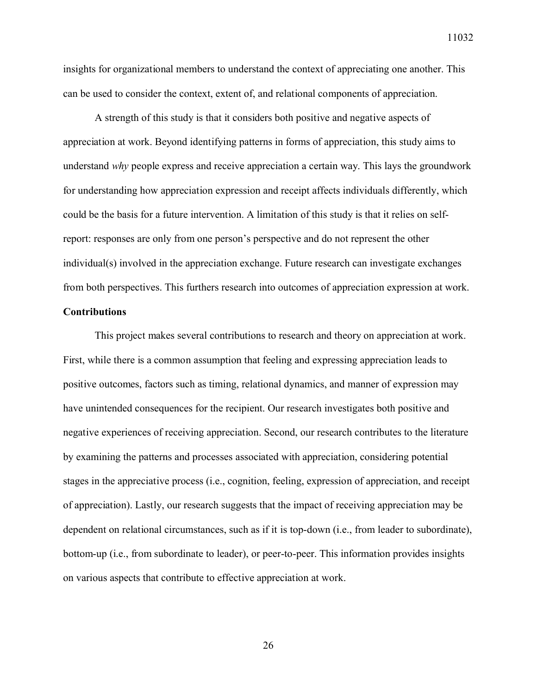insights for organizational members to understand the context of appreciating one another. This can be used to consider the context, extent of, and relational components of appreciation.

A strength of this study is that it considers both positive and negative aspects of appreciation at work. Beyond identifying patterns in forms of appreciation, this study aims to understand *why* people express and receive appreciation a certain way. This lays the groundwork for understanding how appreciation expression and receipt affects individuals differently, which could be the basis for a future intervention. A limitation of this study is that it relies on selfreport: responses are only from one person's perspective and do not represent the other individual(s) involved in the appreciation exchange. Future research can investigate exchanges from both perspectives. This furthers research into outcomes of appreciation expression at work.

## **Contributions**

This project makes several contributions to research and theory on appreciation at work. First, while there is a common assumption that feeling and expressing appreciation leads to positive outcomes, factors such as timing, relational dynamics, and manner of expression may have unintended consequences for the recipient. Our research investigates both positive and negative experiences of receiving appreciation. Second, our research contributes to the literature by examining the patterns and processes associated with appreciation, considering potential stages in the appreciative process (i.e., cognition, feeling, expression of appreciation, and receipt of appreciation). Lastly, our research suggests that the impact of receiving appreciation may be dependent on relational circumstances, such as if it is top-down (i.e., from leader to subordinate), bottom-up (i.e., from subordinate to leader), or peer-to-peer. This information provides insights on various aspects that contribute to effective appreciation at work.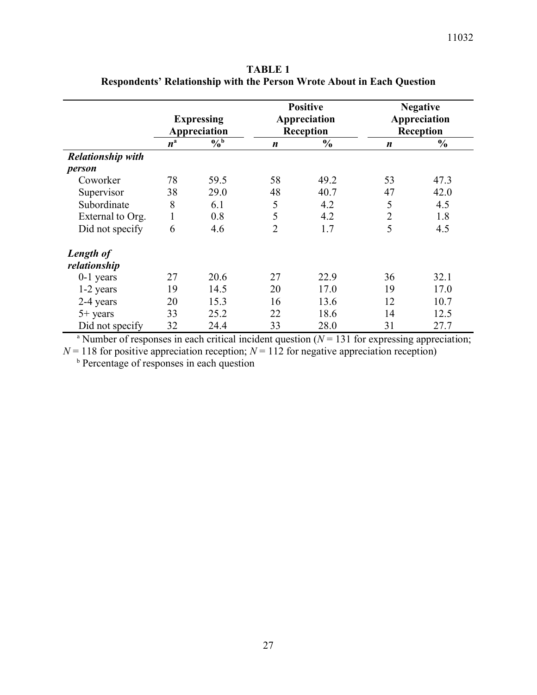**TABLE 1 Respondents' Relationship with the Person Wrote About in Each Question**

|                          | <b>Expressing</b><br>Appreciation |               | <b>Positive</b><br>Appreciation<br>Reception |               | <b>Negative</b><br>Appreciation<br><b>Reception</b> |               |
|--------------------------|-----------------------------------|---------------|----------------------------------------------|---------------|-----------------------------------------------------|---------------|
|                          | $n^{\rm a}$                       | $\sqrt[6]{0}$ | $\boldsymbol{n}$                             | $\frac{0}{0}$ | $\boldsymbol{n}$                                    | $\frac{6}{9}$ |
| <b>Relationship with</b> |                                   |               |                                              |               |                                                     |               |
| person                   |                                   |               |                                              |               |                                                     |               |
| Coworker                 | 78                                | 59.5          | 58                                           | 49.2          | 53                                                  | 47.3          |
| Supervisor               | 38                                | 29.0          | 48                                           | 40.7          | 47                                                  | 42.0          |
| Subordinate              | 8                                 | 6.1           | 5                                            | 4.2           | 5                                                   | 4.5           |
| External to Org.         | 1                                 | 0.8           | 5                                            | 4.2           | $\overline{2}$                                      | 1.8           |
| Did not specify          | 6                                 | 4.6           | $\overline{2}$                               | 1.7           | 5                                                   | 4.5           |
| Length of                |                                   |               |                                              |               |                                                     |               |
| relationship             |                                   |               |                                              |               |                                                     |               |
| $0-1$ years              | 27                                | 20.6          | 27                                           | 22.9          | 36                                                  | 32.1          |
| 1-2 years                | 19                                | 14.5          | 20                                           | 17.0          | 19                                                  | 17.0          |
| 2-4 years                | 20                                | 15.3          | 16                                           | 13.6          | 12                                                  | 10.7          |
| $5+$ years               | 33                                | 25.2          | 22                                           | 18.6          | 14                                                  | 12.5          |
| Did not specify          | 32                                | 24.4          | 33                                           | 28.0          | 31                                                  | 27.7          |

<sup>a</sup> Number of responses in each critical incident question ( $N = 131$  for expressing appreciation;  $N = 118$  for positive appreciation reception;  $N = 112$  for negative appreciation reception)

<sup>b</sup> Percentage of responses in each question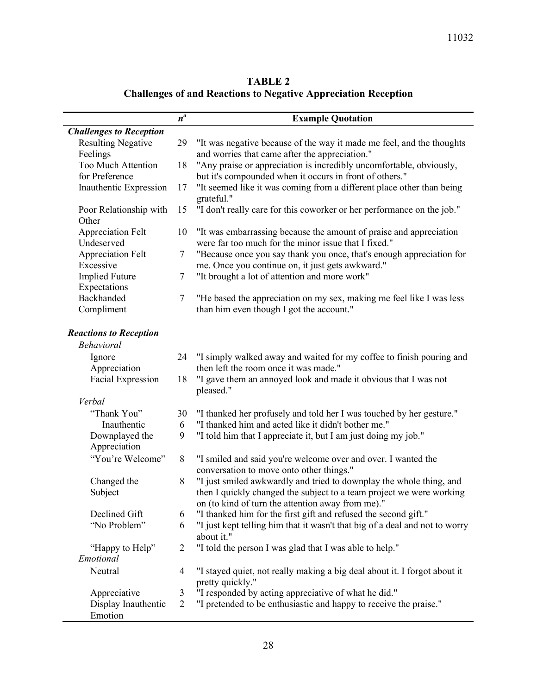| <b>TABLE 2</b>                                                        |  |
|-----------------------------------------------------------------------|--|
| <b>Challenges of and Reactions to Negative Appreciation Reception</b> |  |

|                                | $n^{\rm a}$    | <b>Example Quotation</b>                                                                                      |
|--------------------------------|----------------|---------------------------------------------------------------------------------------------------------------|
| <b>Challenges to Reception</b> |                |                                                                                                               |
| <b>Resulting Negative</b>      | 29             | "It was negative because of the way it made me feel, and the thoughts                                         |
| Feelings                       |                | and worries that came after the appreciation."                                                                |
| <b>Too Much Attention</b>      | 18             | "Any praise or appreciation is incredibly uncomfortable, obviously,                                           |
| for Preference                 |                | but it's compounded when it occurs in front of others."                                                       |
| Inauthentic Expression         | 17             | "It seemed like it was coming from a different place other than being                                         |
|                                |                | grateful."                                                                                                    |
| Poor Relationship with         | 15             | "I don't really care for this coworker or her performance on the job."                                        |
| Other                          |                |                                                                                                               |
| <b>Appreciation Felt</b>       | 10             | "It was embarrassing because the amount of praise and appreciation                                            |
| Undeserved                     |                | were far too much for the minor issue that I fixed."                                                          |
| Appreciation Felt              | 7              | "Because once you say thank you once, that's enough appreciation for                                          |
| Excessive                      |                | me. Once you continue on, it just gets awkward."                                                              |
| <b>Implied Future</b>          | 7              | "It brought a lot of attention and more work"                                                                 |
| Expectations                   |                |                                                                                                               |
| Backhanded                     | $\tau$         | "He based the appreciation on my sex, making me feel like I was less                                          |
| Compliment                     |                | than him even though I got the account."                                                                      |
| <b>Reactions to Reception</b>  |                |                                                                                                               |
| <b>Behavioral</b>              |                |                                                                                                               |
|                                |                |                                                                                                               |
| Ignore<br>Appreciation         | 24             | "I simply walked away and waited for my coffee to finish pouring and<br>then left the room once it was made." |
| <b>Facial Expression</b>       | 18             | "I gave them an annoyed look and made it obvious that I was not                                               |
|                                |                | pleased."                                                                                                     |
| Verbal                         |                |                                                                                                               |
| "Thank You"                    | 30             | "I thanked her profusely and told her I was touched by her gesture."                                          |
| Inauthentic                    | 6              | "I thanked him and acted like it didn't bother me."                                                           |
| Downplayed the                 | 9              | "I told him that I appreciate it, but I am just doing my job."                                                |
| Appreciation                   |                |                                                                                                               |
| "You're Welcome"               | 8              | "I smiled and said you're welcome over and over. I wanted the                                                 |
|                                |                | conversation to move onto other things."                                                                      |
| Changed the                    | 8              | "I just smiled awkwardly and tried to downplay the whole thing, and                                           |
| Subject                        |                | then I quickly changed the subject to a team project we were working                                          |
|                                |                | on (to kind of turn the attention away from me)."                                                             |
| Declined Gift                  | 6              | "I thanked him for the first gift and refused the second gift."                                               |
| "No Problem"                   | 6              | "I just kept telling him that it wasn't that big of a deal and not to worry                                   |
|                                |                | about it."                                                                                                    |
| "Happy to Help"                | $\overline{2}$ | "I told the person I was glad that I was able to help."                                                       |
| Emotional                      |                |                                                                                                               |
| Neutral                        | $\overline{4}$ | "I stayed quiet, not really making a big deal about it. I forgot about it                                     |
|                                |                | pretty quickly."                                                                                              |
| Appreciative                   | 3              | "I responded by acting appreciative of what he did."                                                          |
| Display Inauthentic            | 2              | "I pretended to be enthusiastic and happy to receive the praise."                                             |
| Emotion                        |                |                                                                                                               |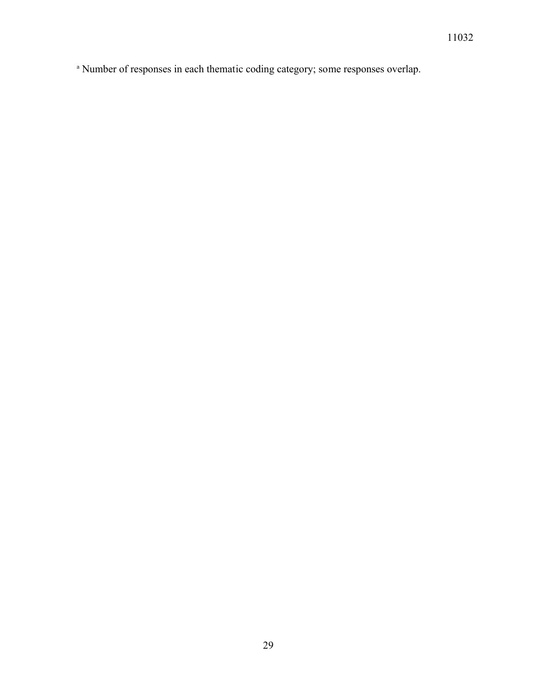<sup>a</sup> Number of responses in each thematic coding category; some responses overlap.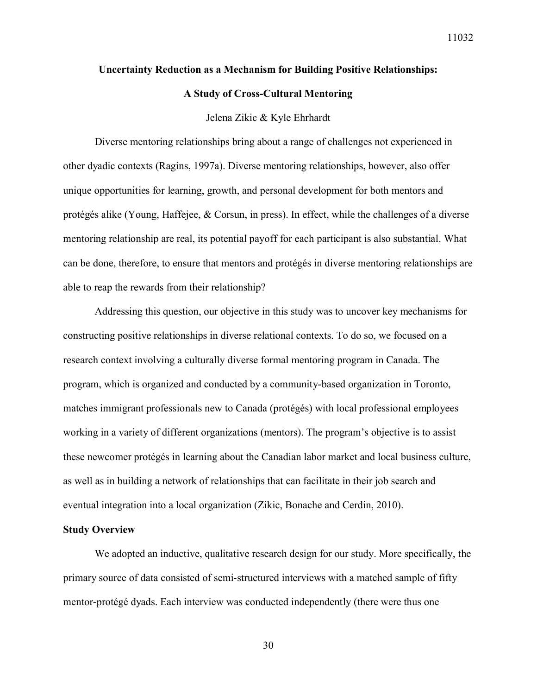#### **Uncertainty Reduction as a Mechanism for Building Positive Relationships:**

#### **A Study of Cross-Cultural Mentoring**

#### Jelena Zikic & Kyle Ehrhardt

Diverse mentoring relationships bring about a range of challenges not experienced in other dyadic contexts (Ragins, 1997a). Diverse mentoring relationships, however, also offer unique opportunities for learning, growth, and personal development for both mentors and protégés alike (Young, Haffejee, & Corsun, in press). In effect, while the challenges of a diverse mentoring relationship are real, its potential payoff for each participant is also substantial. What can be done, therefore, to ensure that mentors and protégés in diverse mentoring relationships are able to reap the rewards from their relationship?

Addressing this question, our objective in this study was to uncover key mechanisms for constructing positive relationships in diverse relational contexts. To do so, we focused on a research context involving a culturally diverse formal mentoring program in Canada. The program, which is organized and conducted by a community-based organization in Toronto, matches immigrant professionals new to Canada (protégés) with local professional employees working in a variety of different organizations (mentors). The program's objective is to assist these newcomer protégés in learning about the Canadian labor market and local business culture, as well as in building a network of relationships that can facilitate in their job search and eventual integration into a local organization (Zikic, Bonache and Cerdin, 2010).

#### **Study Overview**

We adopted an inductive, qualitative research design for our study. More specifically, the primary source of data consisted of semi-structured interviews with a matched sample of fifty mentor-protégé dyads. Each interview was conducted independently (there were thus one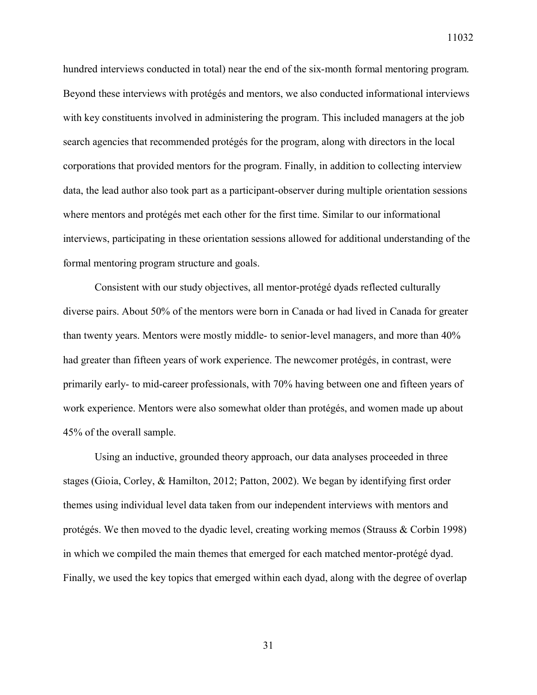hundred interviews conducted in total) near the end of the six-month formal mentoring program. Beyond these interviews with protégés and mentors, we also conducted informational interviews with key constituents involved in administering the program. This included managers at the job search agencies that recommended protégés for the program, along with directors in the local corporations that provided mentors for the program. Finally, in addition to collecting interview data, the lead author also took part as a participant-observer during multiple orientation sessions where mentors and protégés met each other for the first time. Similar to our informational interviews, participating in these orientation sessions allowed for additional understanding of the formal mentoring program structure and goals.

Consistent with our study objectives, all mentor-protégé dyads reflected culturally diverse pairs. About 50% of the mentors were born in Canada or had lived in Canada for greater than twenty years. Mentors were mostly middle- to senior-level managers, and more than 40% had greater than fifteen years of work experience. The newcomer protégés, in contrast, were primarily early- to mid-career professionals, with 70% having between one and fifteen years of work experience. Mentors were also somewhat older than protégés, and women made up about 45% of the overall sample.

Using an inductive, grounded theory approach, our data analyses proceeded in three stages (Gioia, Corley, & Hamilton, 2012; Patton, 2002). We began by identifying first order themes using individual level data taken from our independent interviews with mentors and protégés. We then moved to the dyadic level, creating working memos (Strauss & Corbin 1998) in which we compiled the main themes that emerged for each matched mentor-protégé dyad. Finally, we used the key topics that emerged within each dyad, along with the degree of overlap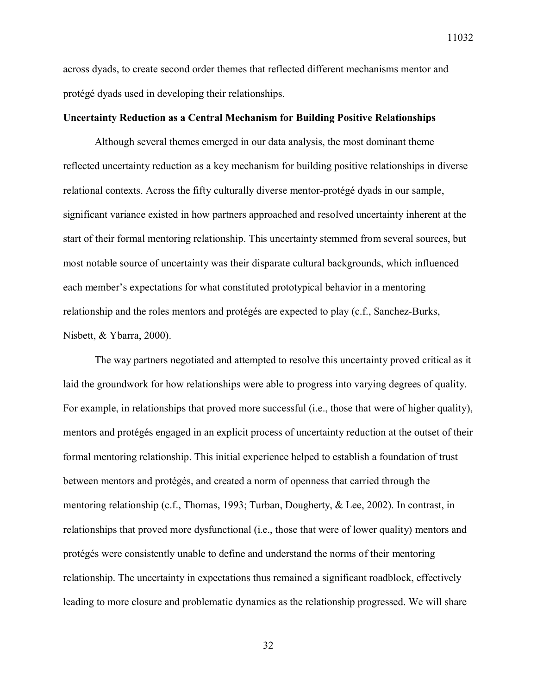across dyads, to create second order themes that reflected different mechanisms mentor and protégé dyads used in developing their relationships.

## **Uncertainty Reduction as a Central Mechanism for Building Positive Relationships**

Although several themes emerged in our data analysis, the most dominant theme reflected uncertainty reduction as a key mechanism for building positive relationships in diverse relational contexts. Across the fifty culturally diverse mentor-protégé dyads in our sample, significant variance existed in how partners approached and resolved uncertainty inherent at the start of their formal mentoring relationship. This uncertainty stemmed from several sources, but most notable source of uncertainty was their disparate cultural backgrounds, which influenced each member's expectations for what constituted prototypical behavior in a mentoring relationship and the roles mentors and protégés are expected to play (c.f., Sanchez-Burks, Nisbett, & Ybarra, 2000).

The way partners negotiated and attempted to resolve this uncertainty proved critical as it laid the groundwork for how relationships were able to progress into varying degrees of quality. For example, in relationships that proved more successful (i.e., those that were of higher quality), mentors and protégés engaged in an explicit process of uncertainty reduction at the outset of their formal mentoring relationship. This initial experience helped to establish a foundation of trust between mentors and protégés, and created a norm of openness that carried through the mentoring relationship (c.f., Thomas, 1993; Turban, Dougherty, & Lee, 2002). In contrast, in relationships that proved more dysfunctional (i.e., those that were of lower quality) mentors and protégés were consistently unable to define and understand the norms of their mentoring relationship. The uncertainty in expectations thus remained a significant roadblock, effectively leading to more closure and problematic dynamics as the relationship progressed. We will share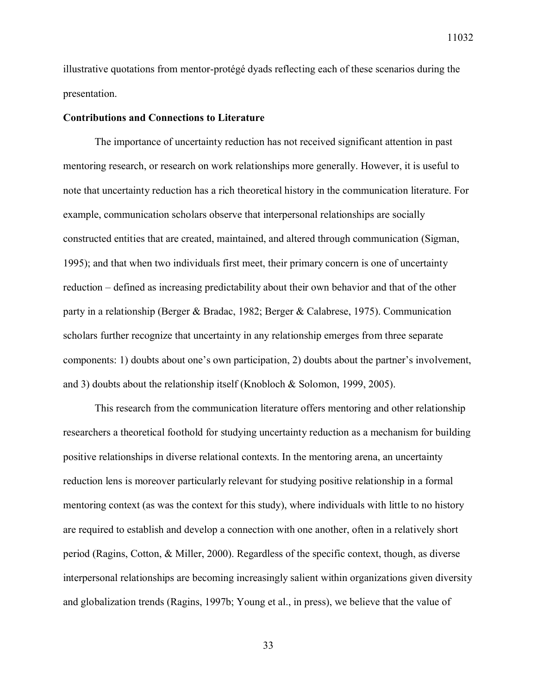illustrative quotations from mentor-protégé dyads reflecting each of these scenarios during the presentation.

#### **Contributions and Connections to Literature**

The importance of uncertainty reduction has not received significant attention in past mentoring research, or research on work relationships more generally. However, it is useful to note that uncertainty reduction has a rich theoretical history in the communication literature. For example, communication scholars observe that interpersonal relationships are socially constructed entities that are created, maintained, and altered through communication (Sigman, 1995); and that when two individuals first meet, their primary concern is one of uncertainty reduction – defined as increasing predictability about their own behavior and that of the other party in a relationship (Berger & Bradac, 1982; Berger & Calabrese, 1975). Communication scholars further recognize that uncertainty in any relationship emerges from three separate components: 1) doubts about one's own participation, 2) doubts about the partner's involvement, and 3) doubts about the relationship itself (Knobloch & Solomon, 1999, 2005).

This research from the communication literature offers mentoring and other relationship researchers a theoretical foothold for studying uncertainty reduction as a mechanism for building positive relationships in diverse relational contexts. In the mentoring arena, an uncertainty reduction lens is moreover particularly relevant for studying positive relationship in a formal mentoring context (as was the context for this study), where individuals with little to no history are required to establish and develop a connection with one another, often in a relatively short period (Ragins, Cotton, & Miller, 2000). Regardless of the specific context, though, as diverse interpersonal relationships are becoming increasingly salient within organizations given diversity and globalization trends (Ragins, 1997b; Young et al., in press), we believe that the value of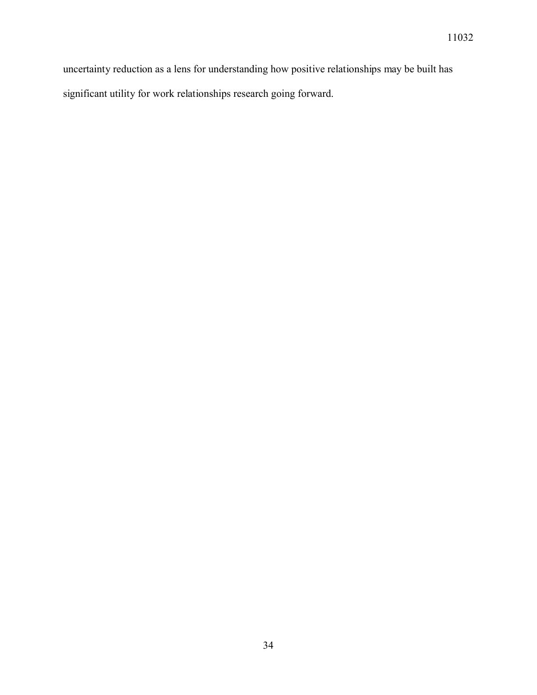uncertainty reduction as a lens for understanding how positive relationships may be built has significant utility for work relationships research going forward.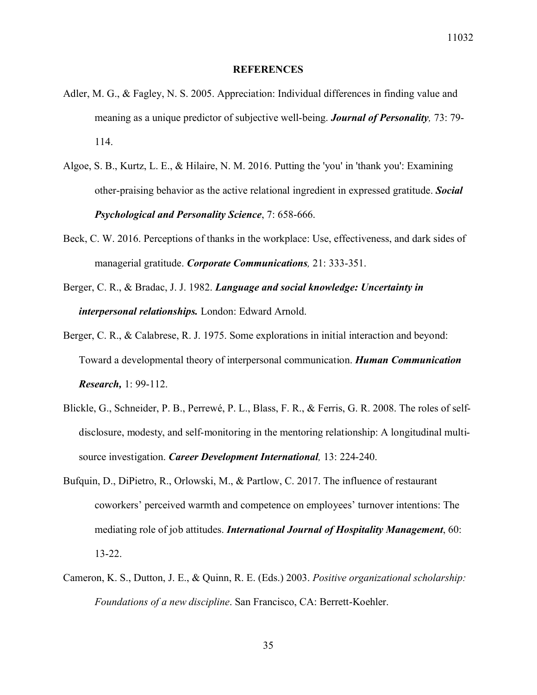#### **REFERENCES**

- Adler, M. G., & Fagley, N. S. 2005. Appreciation: Individual differences in finding value and meaning as a unique predictor of subjective well-being. *Journal of Personality,* 73: 79- 114.
- Algoe, S. B., Kurtz, L. E., & Hilaire, N. M. 2016. Putting the 'you' in 'thank you': Examining other-praising behavior as the active relational ingredient in expressed gratitude. *Social Psychological and Personality Science*, 7: 658-666.
- Beck, C. W. 2016. Perceptions of thanks in the workplace: Use, effectiveness, and dark sides of managerial gratitude. *Corporate Communications,* 21: 333-351.
- Berger, C. R., & Bradac, J. J. 1982. *Language and social knowledge: Uncertainty in interpersonal relationships.* London: Edward Arnold.
- Berger, C. R., & Calabrese, R. J. 1975. Some explorations in initial interaction and beyond: Toward a developmental theory of interpersonal communication. *Human Communication Research,* 1: 99-112.
- Blickle, G., Schneider, P. B., Perrewé, P. L., Blass, F. R., & Ferris, G. R. 2008. The roles of selfdisclosure, modesty, and self-monitoring in the mentoring relationship: A longitudinal multisource investigation. *Career Development International,* 13: 224-240.
- Bufquin, D., DiPietro, R., Orlowski, M., & Partlow, C. 2017. The influence of restaurant coworkers' perceived warmth and competence on employees' turnover intentions: The mediating role of job attitudes. *International Journal of Hospitality Management*, 60: 13-22.
- Cameron, K. S., Dutton, J. E., & Quinn, R. E. (Eds.) 2003. *Positive organizational scholarship: Foundations of a new discipline*. San Francisco, CA: Berrett-Koehler.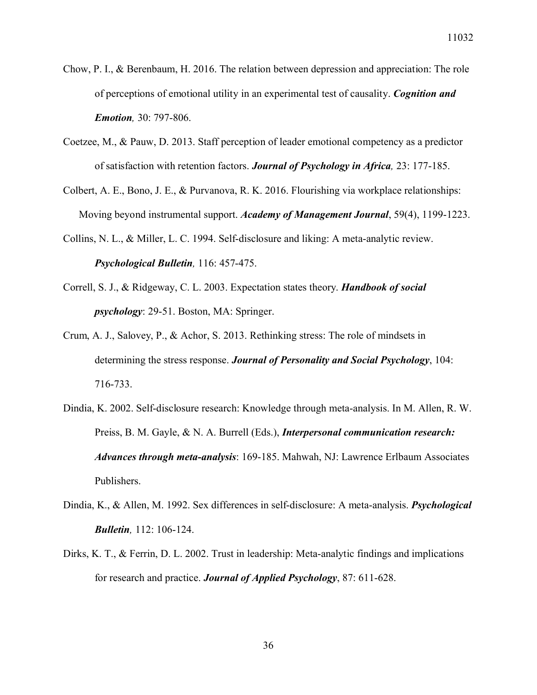- Chow, P. I., & Berenbaum, H. 2016. The relation between depression and appreciation: The role of perceptions of emotional utility in an experimental test of causality. *Cognition and Emotion,* 30: 797-806.
- Coetzee, M., & Pauw, D. 2013. Staff perception of leader emotional competency as a predictor of satisfaction with retention factors. *Journal of Psychology in Africa,* 23: 177-185.
- Colbert, A. E., Bono, J. E., & Purvanova, R. K. 2016. Flourishing via workplace relationships: Moving beyond instrumental support. *Academy of Management Journal*, 59(4), 1199-1223.
- Collins, N. L., & Miller, L. C. 1994. Self-disclosure and liking: A meta-analytic review. *Psychological Bulletin,* 116: 457-475.
- Correll, S. J., & Ridgeway, C. L. 2003. Expectation states theory. *Handbook of social psychology*: 29-51. Boston, MA: Springer.
- Crum, A. J., Salovey, P., & Achor, S. 2013. Rethinking stress: The role of mindsets in determining the stress response. *Journal of Personality and Social Psychology*, 104: 716-733.
- Dindia, K. 2002. Self-disclosure research: Knowledge through meta-analysis. In M. Allen, R. W. Preiss, B. M. Gayle, & N. A. Burrell (Eds.), *Interpersonal communication research: Advances through meta-analysis*: 169-185. Mahwah, NJ: Lawrence Erlbaum Associates Publishers.
- Dindia, K., & Allen, M. 1992. Sex differences in self-disclosure: A meta-analysis. *Psychological Bulletin,* 112: 106-124.
- Dirks, K. T., & Ferrin, D. L. 2002. Trust in leadership: Meta-analytic findings and implications for research and practice. *Journal of Applied Psychology*, 87: 611-628.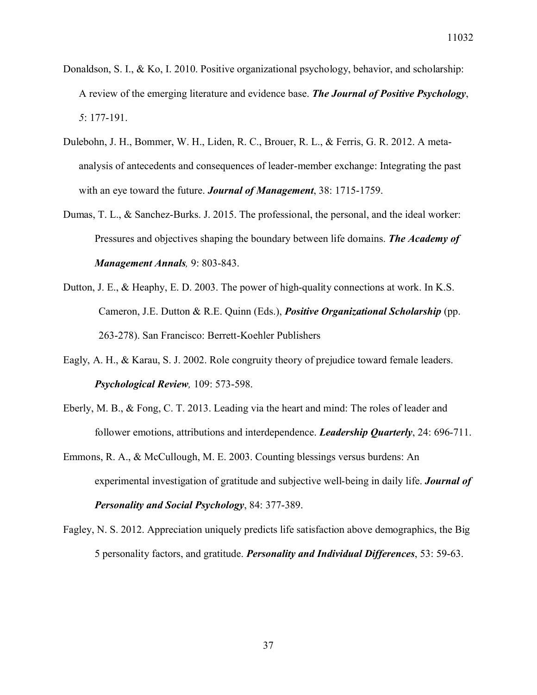- Donaldson, S. I., & Ko, I. 2010. Positive organizational psychology, behavior, and scholarship: A review of the emerging literature and evidence base. *The Journal of Positive Psychology*, *5*: 177-191.
- Dulebohn, J. H., Bommer, W. H., Liden, R. C., Brouer, R. L., & Ferris, G. R. 2012. A metaanalysis of antecedents and consequences of leader-member exchange: Integrating the past with an eye toward the future. *Journal of Management*, 38: 1715-1759.
- Dumas, T. L., & Sanchez-Burks. J. 2015. The professional, the personal, and the ideal worker: Pressures and objectives shaping the boundary between life domains. *The Academy of Management Annals,* 9: 803-843.
- Dutton, J. E., & Heaphy, E. D. 2003. The power of high-quality connections at work. In K.S. Cameron, J.E. Dutton & R.E. Quinn (Eds.), *Positive Organizational Scholarship* (pp. 263-278). San Francisco: Berrett-Koehler Publishers
- Eagly, A. H., & Karau, S. J. 2002. Role congruity theory of prejudice toward female leaders. *Psychological Review,* 109: 573-598.
- Eberly, M. B., & Fong, C. T. 2013. Leading via the heart and mind: The roles of leader and follower emotions, attributions and interdependence. *Leadership Quarterly*, 24: 696-711.
- Emmons, R. A., & McCullough, M. E. 2003. Counting blessings versus burdens: An experimental investigation of gratitude and subjective well-being in daily life. *Journal of Personality and Social Psychology*, 84: 377-389.
- Fagley, N. S. 2012. Appreciation uniquely predicts life satisfaction above demographics, the Big 5 personality factors, and gratitude. *Personality and Individual Differences*, 53: 59-63.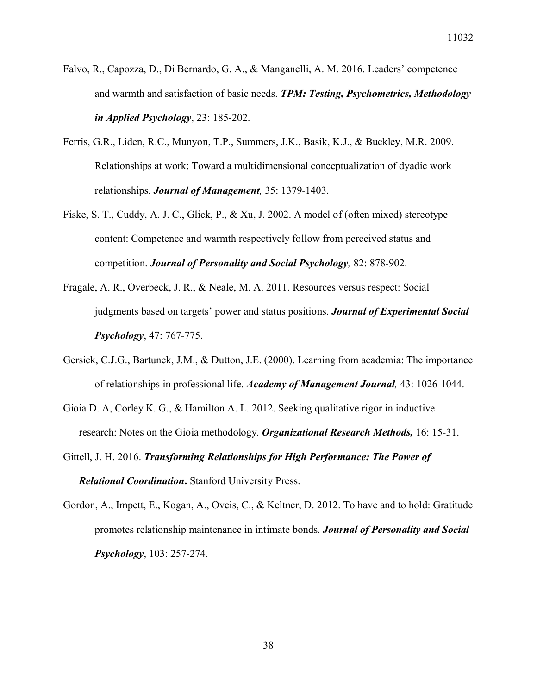- Falvo, R., Capozza, D., Di Bernardo, G. A., & Manganelli, A. M. 2016. Leaders' competence and warmth and satisfaction of basic needs. *TPM: Testing, Psychometrics, Methodology in Applied Psychology*, 23: 185-202.
- Ferris, G.R., Liden, R.C., Munyon, T.P., Summers, J.K., Basik, K.J., & Buckley, M.R. 2009. Relationships at work: Toward a multidimensional conceptualization of dyadic work relationships. *Journal of Management,* 35: 1379-1403.
- Fiske, S. T., Cuddy, A. J. C., Glick, P., & Xu, J. 2002. A model of (often mixed) stereotype content: Competence and warmth respectively follow from perceived status and competition. *Journal of Personality and Social Psychology,* 82: 878-902.
- Fragale, A. R., Overbeck, J. R., & Neale, M. A. 2011. Resources versus respect: Social judgments based on targets' power and status positions. *Journal of Experimental Social Psychology*, 47: 767-775.
- Gersick, C.J.G., Bartunek, J.M., & Dutton, J.E. (2000). Learning from academia: The importance of relationships in professional life. *Academy of Management Journal,* 43: 1026-1044.
- Gioia D. A, Corley K. G., & Hamilton A. L. 2012. Seeking qualitative rigor in inductive research: Notes on the Gioia methodology. *Organizational Research Methods,* 16: 15-31.
- Gittell, J. H. 2016. *Transforming Relationships for High Performance: The Power of Relational Coordination***.** Stanford University Press.
- Gordon, A., Impett, E., Kogan, A., Oveis, C., & Keltner, D. 2012. To have and to hold: Gratitude promotes relationship maintenance in intimate bonds. *Journal of Personality and Social Psychology*, 103: 257-274.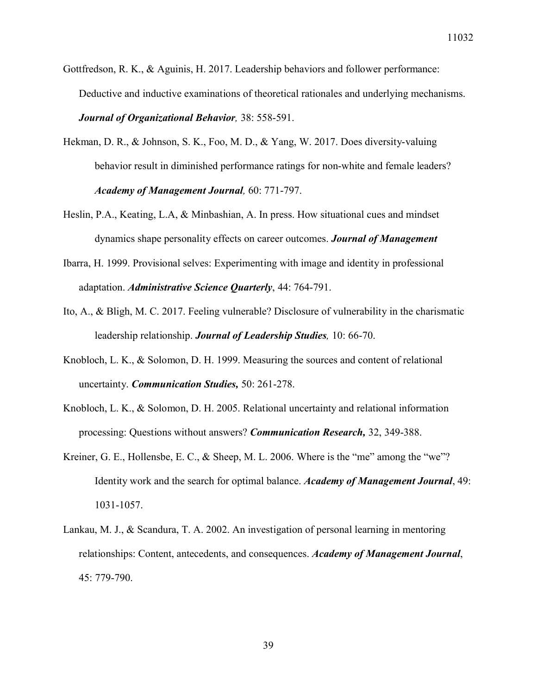- Gottfredson, R. K., & Aguinis, H. 2017. Leadership behaviors and follower performance: Deductive and inductive examinations of theoretical rationales and underlying mechanisms. *Journal of Organizational Behavior,* 38: 558-591.
- Hekman, D. R., & Johnson, S. K., Foo, M. D., & Yang, W. 2017. Does diversity-valuing behavior result in diminished performance ratings for non-white and female leaders? *Academy of Management Journal,* 60: 771-797.
- Heslin, P.A., Keating, L.A, & Minbashian, A. In press. How situational cues and mindset dynamics shape personality effects on career outcomes. *Journal of Management*
- Ibarra, H. 1999. Provisional selves: Experimenting with image and identity in professional adaptation. *Administrative Science Quarterly*, 44: 764-791.
- Ito, A., & Bligh, M. C. 2017. Feeling vulnerable? Disclosure of vulnerability in the charismatic leadership relationship. *Journal of Leadership Studies,* 10: 66-70.
- Knobloch, L. K., & Solomon, D. H. 1999. Measuring the sources and content of relational uncertainty. *Communication Studies,* 50: 261-278.
- Knobloch, L. K., & Solomon, D. H. 2005. Relational uncertainty and relational information processing: Questions without answers? *Communication Research,* 32, 349-388.
- Kreiner, G. E., Hollensbe, E. C., & Sheep, M. L. 2006. Where is the "me" among the "we"? Identity work and the search for optimal balance. *Academy of Management Journal*, 49: 1031-1057.
- Lankau, M. J., & Scandura, T. A. 2002. An investigation of personal learning in mentoring relationships: Content, antecedents, and consequences. *Academy of Management Journal*, 45: 779-790.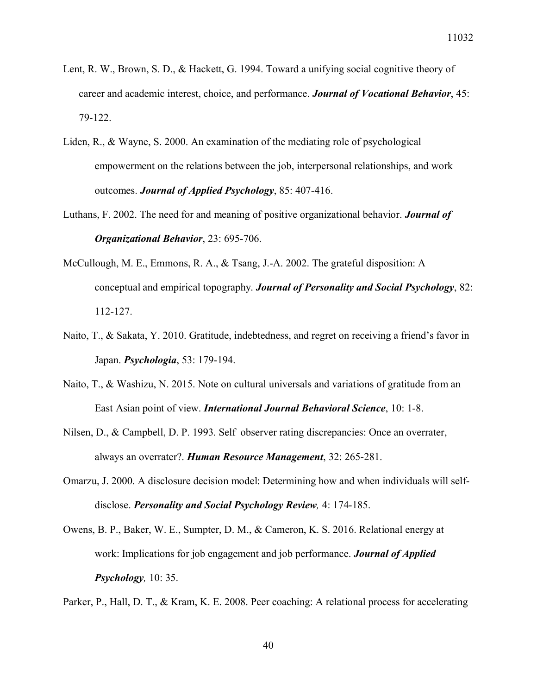- Lent, R. W., Brown, S. D., & Hackett, G. 1994. Toward a unifying social cognitive theory of career and academic interest, choice, and performance. *Journal of Vocational Behavior*, 45: 79-122.
- Liden, R., & Wayne, S. 2000. An examination of the mediating role of psychological empowerment on the relations between the job, interpersonal relationships, and work outcomes. *Journal of Applied Psychology*, 85: 407-416.
- Luthans, F. 2002. The need for and meaning of positive organizational behavior. *Journal of Organizational Behavior*, 23: 695-706.
- McCullough, M. E., Emmons, R. A., & Tsang, J.-A. 2002. The grateful disposition: A conceptual and empirical topography. *Journal of Personality and Social Psychology*, 82: 112-127.
- Naito, T., & Sakata, Y. 2010. Gratitude, indebtedness, and regret on receiving a friend's favor in Japan. *Psychologia*, 53: 179-194.
- Naito, T., & Washizu, N. 2015. Note on cultural universals and variations of gratitude from an East Asian point of view. *International Journal Behavioral Science*, 10: 1-8.
- Nilsen, D., & Campbell, D. P. 1993. Self–observer rating discrepancies: Once an overrater, always an overrater?. *Human Resource Management*, 32: 265-281.
- Omarzu, J. 2000. A disclosure decision model: Determining how and when individuals will selfdisclose. *Personality and Social Psychology Review,* 4: 174-185.
- Owens, B. P., Baker, W. E., Sumpter, D. M., & Cameron, K. S. 2016. Relational energy at work: Implications for job engagement and job performance. *Journal of Applied Psychology,* 10: 35.

Parker, P., Hall, D. T., & Kram, K. E. 2008. Peer coaching: A relational process for accelerating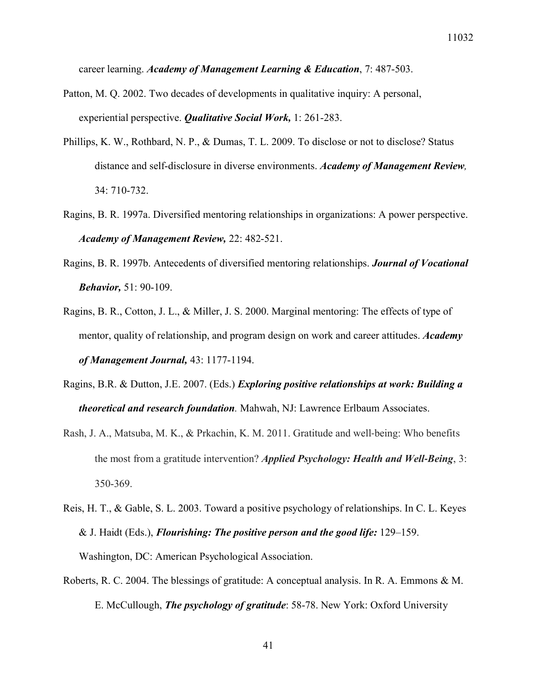career learning. *Academy of Management Learning & Education*, 7: 487-503.

- Patton, M. Q. 2002. Two decades of developments in qualitative inquiry: A personal, experiential perspective. *Qualitative Social Work,* 1: 261-283.
- Phillips, K. W., Rothbard, N. P., & Dumas, T. L. 2009. To disclose or not to disclose? Status distance and self-disclosure in diverse environments. *Academy of Management Review,*  34: 710-732.
- Ragins, B. R. 1997a. Diversified mentoring relationships in organizations: A power perspective. *Academy of Management Review,* 22: 482-521.
- Ragins, B. R. 1997b. Antecedents of diversified mentoring relationships. *Journal of Vocational Behavior,* 51: 90-109.
- Ragins, B. R., Cotton, J. L., & Miller, J. S. 2000. Marginal mentoring: The effects of type of mentor, quality of relationship, and program design on work and career attitudes. *Academy of Management Journal,* 43: 1177-1194.
- Ragins, B.R. & Dutton, J.E. 2007. (Eds.) *Exploring positive relationships at work: Building a theoretical and research foundation.* Mahwah, NJ: Lawrence Erlbaum Associates.
- Rash, J. A., Matsuba, M. K., & Prkachin, K. M. 2011. Gratitude and well-being: Who benefits the most from a gratitude intervention? *Applied Psychology: Health and Well-Being*, 3: 350-369.
- Reis, H. T., & Gable, S. L. 2003. Toward a positive psychology of relationships. In C. L. Keyes & J. Haidt (Eds.), *Flourishing: The positive person and the good life:* 129–159. Washington, DC: American Psychological Association.
- Roberts, R. C. 2004. The blessings of gratitude: A conceptual analysis. In R. A. Emmons & M. E. McCullough, *The psychology of gratitude*: 58-78. New York: Oxford University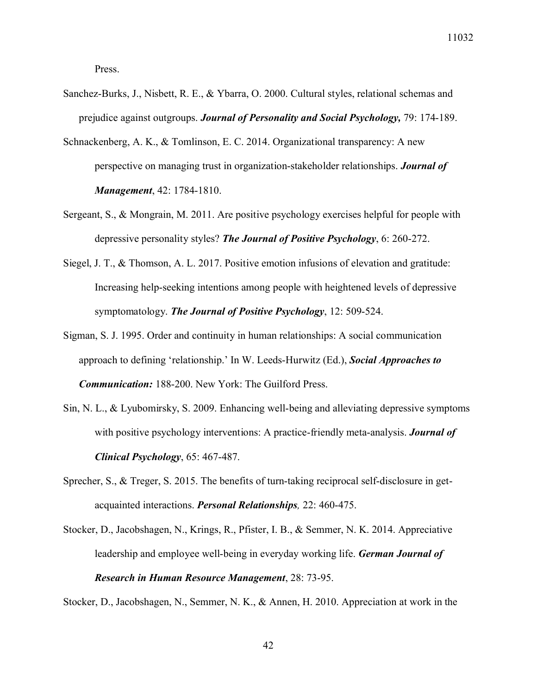Press.

- Sanchez-Burks, J., Nisbett, R. E., & Ybarra, O. 2000. Cultural styles, relational schemas and prejudice against outgroups. *Journal of Personality and Social Psychology,* 79: 174-189.
- Schnackenberg, A. K., & Tomlinson, E. C. 2014. Organizational transparency: A new perspective on managing trust in organization-stakeholder relationships. *Journal of Management*, 42: 1784-1810.
- Sergeant, S., & Mongrain, M. 2011. Are positive psychology exercises helpful for people with depressive personality styles? *The Journal of Positive Psychology*, 6: 260-272.
- Siegel, J. T., & Thomson, A. L. 2017. Positive emotion infusions of elevation and gratitude: Increasing help-seeking intentions among people with heightened levels of depressive symptomatology. *The Journal of Positive Psychology*, 12: 509-524.
- Sigman, S. J. 1995. Order and continuity in human relationships: A social communication approach to defining 'relationship.' In W. Leeds-Hurwitz (Ed.), *Social Approaches to Communication:* 188-200. New York: The Guilford Press.
- Sin, N. L., & Lyubomirsky, S. 2009. Enhancing well-being and alleviating depressive symptoms with positive psychology interventions: A practice-friendly meta-analysis. *Journal of Clinical Psychology*, 65: 467-487.
- Sprecher, S., & Treger, S. 2015. The benefits of turn-taking reciprocal self-disclosure in getacquainted interactions. *Personal Relationships,* 22: 460-475.
- Stocker, D., Jacobshagen, N., Krings, R., Pfister, I. B., & Semmer, N. K. 2014. Appreciative leadership and employee well-being in everyday working life. *German Journal of Research in Human Resource Management*, 28: 73-95.

Stocker, D., Jacobshagen, N., Semmer, N. K., & Annen, H. 2010. Appreciation at work in the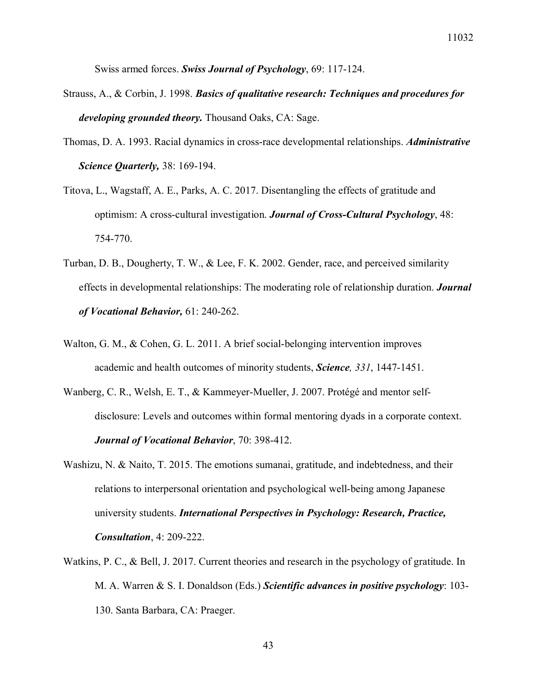Swiss armed forces. *Swiss Journal of Psychology*, 69: 117-124.

- Strauss, A., & Corbin, J. 1998. *Basics of qualitative research: Techniques and procedures for developing grounded theory.* Thousand Oaks, CA: Sage.
- Thomas, D. A. 1993. Racial dynamics in cross-race developmental relationships. *Administrative Science Quarterly,* 38: 169-194.
- Titova, L., Wagstaff, A. E., Parks, A. C. 2017. Disentangling the effects of gratitude and optimism: A cross-cultural investigation. *Journal of Cross-Cultural Psychology*, 48: 754-770.
- Turban, D. B., Dougherty, T. W., & Lee, F. K. 2002. Gender, race, and perceived similarity effects in developmental relationships: The moderating role of relationship duration. *Journal of Vocational Behavior,* 61: 240-262.
- Walton, G. M., & Cohen, G. L. 2011. A brief social-belonging intervention improves academic and health outcomes of minority students, *Science, 331*, 1447-1451.
- Wanberg, C. R., Welsh, E. T., & Kammeyer-Mueller, J. 2007. Protégé and mentor selfdisclosure: Levels and outcomes within formal mentoring dyads in a corporate context. *Journal of Vocational Behavior*, 70: 398-412.
- Washizu, N. & Naito, T. 2015. The emotions sumanai, gratitude, and indebtedness, and their relations to interpersonal orientation and psychological well-being among Japanese university students. *International Perspectives in Psychology: Research, Practice, Consultation*, 4: 209-222.
- Watkins, P. C., & Bell, J. 2017. Current theories and research in the psychology of gratitude. In M. A. Warren & S. I. Donaldson (Eds.) *Scientific advances in positive psychology*: 103- 130. Santa Barbara, CA: Praeger.